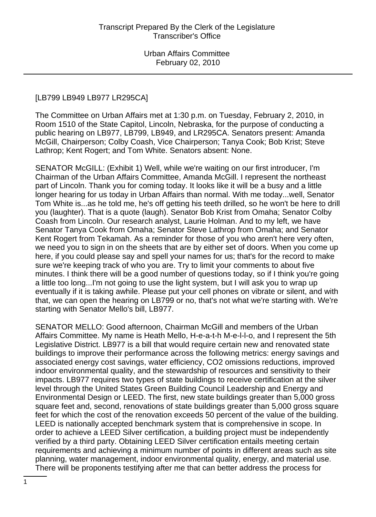### [LB799 LB949 LB977 LR295CA]

The Committee on Urban Affairs met at 1:30 p.m. on Tuesday, February 2, 2010, in Room 1510 of the State Capitol, Lincoln, Nebraska, for the purpose of conducting a public hearing on LB977, LB799, LB949, and LR295CA. Senators present: Amanda McGill, Chairperson; Colby Coash, Vice Chairperson; Tanya Cook; Bob Krist; Steve Lathrop; Kent Rogert; and Tom White. Senators absent: None.

SENATOR McGILL: (Exhibit 1) Well, while we're waiting on our first introducer, I'm Chairman of the Urban Affairs Committee, Amanda McGill. I represent the northeast part of Lincoln. Thank you for coming today. It looks like it will be a busy and a little longer hearing for us today in Urban Affairs than normal. With me today...well, Senator Tom White is...as he told me, he's off getting his teeth drilled, so he won't be here to drill you (laughter). That is a quote (laugh). Senator Bob Krist from Omaha; Senator Colby Coash from Lincoln. Our research analyst, Laurie Holman. And to my left, we have Senator Tanya Cook from Omaha; Senator Steve Lathrop from Omaha; and Senator Kent Rogert from Tekamah. As a reminder for those of you who aren't here very often, we need you to sign in on the sheets that are by either set of doors. When you come up here, if you could please say and spell your names for us; that's for the record to make sure we're keeping track of who you are. Try to limit your comments to about five minutes. I think there will be a good number of questions today, so if I think you're going a little too long...I'm not going to use the light system, but I will ask you to wrap up eventually if it is taking awhile. Please put your cell phones on vibrate or silent, and with that, we can open the hearing on LB799 or no, that's not what we're starting with. We're starting with Senator Mello's bill, LB977.

SENATOR MELLO: Good afternoon, Chairman McGill and members of the Urban Affairs Committee. My name is Heath Mello, H-e-a-t-h M-e-l-l-o, and I represent the 5th Legislative District. LB977 is a bill that would require certain new and renovated state buildings to improve their performance across the following metrics: energy savings and associated energy cost savings, water efficiency, CO2 omissions reductions, improved indoor environmental quality, and the stewardship of resources and sensitivity to their impacts. LB977 requires two types of state buildings to receive certification at the silver level through the United States Green Building Council Leadership and Energy and Environmental Design or LEED. The first, new state buildings greater than 5,000 gross square feet and, second, renovations of state buildings greater than 5,000 gross square feet for which the cost of the renovation exceeds 50 percent of the value of the building. LEED is nationally accepted benchmark system that is comprehensive in scope. In order to achieve a LEED Silver certification, a building project must be independently verified by a third party. Obtaining LEED Silver certification entails meeting certain requirements and achieving a minimum number of points in different areas such as site planning, water management, indoor environmental quality, energy, and material use. There will be proponents testifying after me that can better address the process for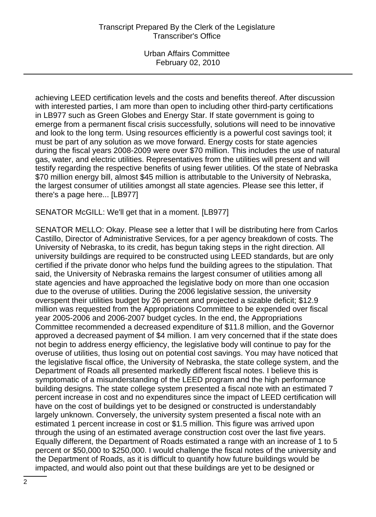achieving LEED certification levels and the costs and benefits thereof. After discussion with interested parties, I am more than open to including other third-party certifications in LB977 such as Green Globes and Energy Star. If state government is going to emerge from a permanent fiscal crisis successfully, solutions will need to be innovative and look to the long term. Using resources efficiently is a powerful cost savings tool; it must be part of any solution as we move forward. Energy costs for state agencies during the fiscal years 2008-2009 were over \$70 million. This includes the use of natural gas, water, and electric utilities. Representatives from the utilities will present and will testify regarding the respective benefits of using fewer utilities. Of the state of Nebraska \$70 million energy bill, almost \$45 million is attributable to the University of Nebraska, the largest consumer of utilities amongst all state agencies. Please see this letter, if there's a page here... [LB977]

SENATOR McGILL: We'll get that in a moment. [LB977]

SENATOR MELLO: Okay. Please see a letter that I will be distributing here from Carlos Castillo, Director of Administrative Services, for a per agency breakdown of costs. The University of Nebraska, to its credit, has begun taking steps in the right direction. All university buildings are required to be constructed using LEED standards, but are only certified if the private donor who helps fund the building agrees to the stipulation. That said, the University of Nebraska remains the largest consumer of utilities among all state agencies and have approached the legislative body on more than one occasion due to the overuse of utilities. During the 2006 legislative session, the university overspent their utilities budget by 26 percent and projected a sizable deficit; \$12.9 million was requested from the Appropriations Committee to be expended over fiscal year 2005-2006 and 2006-2007 budget cycles. In the end, the Appropriations Committee recommended a decreased expenditure of \$11.8 million, and the Governor approved a decreased payment of \$4 million. I am very concerned that if the state does not begin to address energy efficiency, the legislative body will continue to pay for the overuse of utilities, thus losing out on potential cost savings. You may have noticed that the legislative fiscal office, the University of Nebraska, the state college system, and the Department of Roads all presented markedly different fiscal notes. I believe this is symptomatic of a misunderstanding of the LEED program and the high performance building designs. The state college system presented a fiscal note with an estimated 7 percent increase in cost and no expenditures since the impact of LEED certification will have on the cost of buildings yet to be designed or constructed is understandably largely unknown. Conversely, the university system presented a fiscal note with an estimated 1 percent increase in cost or \$1.5 million. This figure was arrived upon through the using of an estimated average construction cost over the last five years. Equally different, the Department of Roads estimated a range with an increase of 1 to 5 percent or \$50,000 to \$250,000. I would challenge the fiscal notes of the university and the Department of Roads, as it is difficult to quantify how future buildings would be impacted, and would also point out that these buildings are yet to be designed or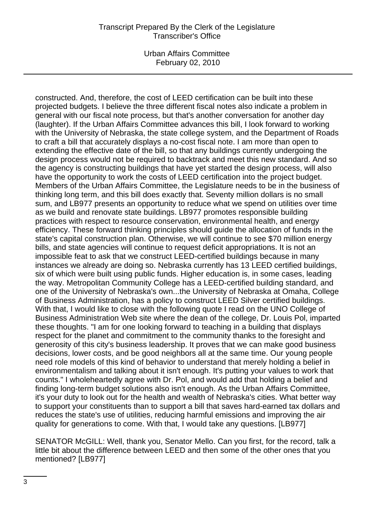Urban Affairs Committee February 02, 2010

constructed. And, therefore, the cost of LEED certification can be built into these projected budgets. I believe the three different fiscal notes also indicate a problem in general with our fiscal note process, but that's another conversation for another day (laughter). If the Urban Affairs Committee advances this bill, I look forward to working with the University of Nebraska, the state college system, and the Department of Roads to craft a bill that accurately displays a no-cost fiscal note. I am more than open to extending the effective date of the bill, so that any buildings currently undergoing the design process would not be required to backtrack and meet this new standard. And so the agency is constructing buildings that have yet started the design process, will also have the opportunity to work the costs of LEED certification into the project budget. Members of the Urban Affairs Committee, the Legislature needs to be in the business of thinking long term, and this bill does exactly that. Seventy million dollars is no small sum, and LB977 presents an opportunity to reduce what we spend on utilities over time as we build and renovate state buildings. LB977 promotes responsible building practices with respect to resource conservation, environmental health, and energy efficiency. These forward thinking principles should guide the allocation of funds in the state's capital construction plan. Otherwise, we will continue to see \$70 million energy bills, and state agencies will continue to request deficit appropriations. It is not an impossible feat to ask that we construct LEED-certified buildings because in many instances we already are doing so. Nebraska currently has 13 LEED certified buildings, six of which were built using public funds. Higher education is, in some cases, leading the way. Metropolitan Community College has a LEED-certified building standard, and one of the University of Nebraska's own...the University of Nebraska at Omaha, College of Business Administration, has a policy to construct LEED Silver certified buildings. With that, I would like to close with the following quote I read on the UNO College of Business Administration Web site where the dean of the college, Dr. Louis Pol, imparted these thoughts. "I am for one looking forward to teaching in a building that displays respect for the planet and commitment to the community thanks to the foresight and generosity of this city's business leadership. It proves that we can make good business decisions, lower costs, and be good neighbors all at the same time. Our young people need role models of this kind of behavior to understand that merely holding a belief in environmentalism and talking about it isn't enough. It's putting your values to work that counts." I wholeheartedly agree with Dr. Pol, and would add that holding a belief and finding long-term budget solutions also isn't enough. As the Urban Affairs Committee, it's your duty to look out for the health and wealth of Nebraska's cities. What better way to support your constituents than to support a bill that saves hard-earned tax dollars and reduces the state's use of utilities, reducing harmful emissions and improving the air quality for generations to come. With that, I would take any questions. [LB977]

SENATOR McGILL: Well, thank you, Senator Mello. Can you first, for the record, talk a little bit about the difference between LEED and then some of the other ones that you mentioned? [LB977]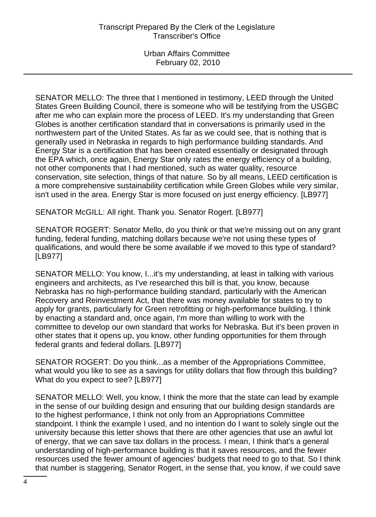SENATOR MELLO: The three that I mentioned in testimony, LEED through the United States Green Building Council, there is someone who will be testifying from the USGBC after me who can explain more the process of LEED. It's my understanding that Green Globes is another certification standard that in conversations is primarily used in the northwestern part of the United States. As far as we could see, that is nothing that is generally used in Nebraska in regards to high performance building standards. And Energy Star is a certification that has been created essentially or designated through the EPA which, once again, Energy Star only rates the energy efficiency of a building, not other components that I had mentioned, such as water quality, resource conservation, site selection, things of that nature. So by all means, LEED certification is a more comprehensive sustainability certification while Green Globes while very similar, isn't used in the area. Energy Star is more focused on just energy efficiency. [LB977]

SENATOR McGILL: All right. Thank you. Senator Rogert. [LB977]

SENATOR ROGERT: Senator Mello, do you think or that we're missing out on any grant funding, federal funding, matching dollars because we're not using these types of qualifications, and would there be some available if we moved to this type of standard? [LB977]

SENATOR MELLO: You know, I...it's my understanding, at least in talking with various engineers and architects, as I've researched this bill is that, you know, because Nebraska has no high-performance building standard, particularly with the American Recovery and Reinvestment Act, that there was money available for states to try to apply for grants, particularly for Green retrofitting or high-performance building. I think by enacting a standard and, once again, I'm more than willing to work with the committee to develop our own standard that works for Nebraska. But it's been proven in other states that it opens up, you know, other funding opportunities for them through federal grants and federal dollars. [LB977]

SENATOR ROGERT: Do you think...as a member of the Appropriations Committee, what would you like to see as a savings for utility dollars that flow through this building? What do you expect to see? [LB977]

SENATOR MELLO: Well, you know, I think the more that the state can lead by example in the sense of our building design and ensuring that our building design standards are to the highest performance, I think not only from an Appropriations Committee standpoint. I think the example I used, and no intention do I want to solely single out the university because this letter shows that there are other agencies that use an awful lot of energy, that we can save tax dollars in the process. I mean, I think that's a general understanding of high-performance building is that it saves resources, and the fewer resources used the fewer amount of agencies' budgets that need to go to that. So I think that number is staggering, Senator Rogert, in the sense that, you know, if we could save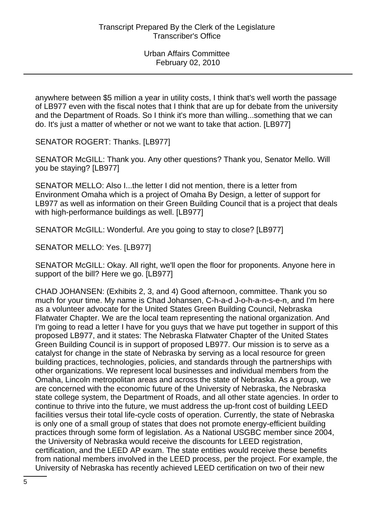anywhere between \$5 million a year in utility costs, I think that's well worth the passage of LB977 even with the fiscal notes that I think that are up for debate from the university and the Department of Roads. So I think it's more than willing...something that we can do. It's just a matter of whether or not we want to take that action. [LB977]

SENATOR ROGERT: Thanks. [LB977]

SENATOR McGILL: Thank you. Any other questions? Thank you, Senator Mello. Will you be staying? [LB977]

SENATOR MELLO: Also I...the letter I did not mention, there is a letter from Environment Omaha which is a project of Omaha By Design, a letter of support for LB977 as well as information on their Green Building Council that is a project that deals with high-performance buildings as well. [LB977]

SENATOR McGILL: Wonderful. Are you going to stay to close? [LB977]

SENATOR MELLO: Yes. [LB977]

SENATOR McGILL: Okay. All right, we'll open the floor for proponents. Anyone here in support of the bill? Here we go. [LB977]

CHAD JOHANSEN: (Exhibits 2, 3, and 4) Good afternoon, committee. Thank you so much for your time. My name is Chad Johansen, C-h-a-d J-o-h-a-n-s-e-n, and I'm here as a volunteer advocate for the United States Green Building Council, Nebraska Flatwater Chapter. We are the local team representing the national organization. And I'm going to read a letter I have for you guys that we have put together in support of this proposed LB977, and it states: The Nebraska Flatwater Chapter of the United States Green Building Council is in support of proposed LB977. Our mission is to serve as a catalyst for change in the state of Nebraska by serving as a local resource for green building practices, technologies, policies, and standards through the partnerships with other organizations. We represent local businesses and individual members from the Omaha, Lincoln metropolitan areas and across the state of Nebraska. As a group, we are concerned with the economic future of the University of Nebraska, the Nebraska state college system, the Department of Roads, and all other state agencies. In order to continue to thrive into the future, we must address the up-front cost of building LEED facilities versus their total life-cycle costs of operation. Currently, the state of Nebraska is only one of a small group of states that does not promote energy-efficient building practices through some form of legislation. As a National USGBC member since 2004, the University of Nebraska would receive the discounts for LEED registration, certification, and the LEED AP exam. The state entities would receive these benefits from national members involved in the LEED process, per the project. For example, the University of Nebraska has recently achieved LEED certification on two of their new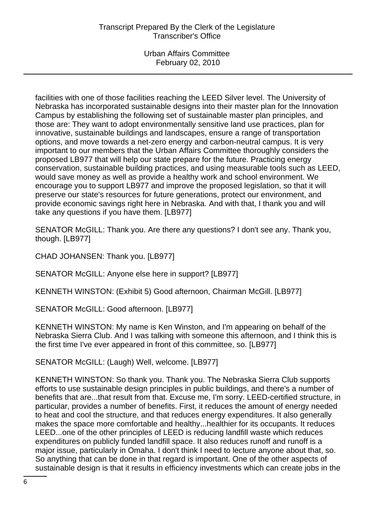Urban Affairs Committee February 02, 2010

facilities with one of those facilities reaching the LEED Silver level. The University of Nebraska has incorporated sustainable designs into their master plan for the Innovation Campus by establishing the following set of sustainable master plan principles, and those are: They want to adopt environmentally sensitive land use practices, plan for innovative, sustainable buildings and landscapes, ensure a range of transportation options, and move towards a net-zero energy and carbon-neutral campus. It is very important to our members that the Urban Affairs Committee thoroughly considers the proposed LB977 that will help our state prepare for the future. Practicing energy conservation, sustainable building practices, and using measurable tools such as LEED, would save money as well as provide a healthy work and school environment. We encourage you to support LB977 and improve the proposed legislation, so that it will preserve our state's resources for future generations, protect our environment, and provide economic savings right here in Nebraska. And with that, I thank you and will take any questions if you have them. [LB977]

SENATOR McGILL: Thank you. Are there any questions? I don't see any. Thank you, though. [LB977]

CHAD JOHANSEN: Thank you. [LB977]

SENATOR McGILL: Anyone else here in support? [LB977]

KENNETH WINSTON: (Exhibit 5) Good afternoon, Chairman McGill. [LB977]

SENATOR McGILL: Good afternoon. [LB977]

KENNETH WINSTON: My name is Ken Winston, and I'm appearing on behalf of the Nebraska Sierra Club. And I was talking with someone this afternoon, and I think this is the first time I've ever appeared in front of this committee, so. [LB977]

SENATOR McGILL: (Laugh) Well, welcome. [LB977]

KENNETH WINSTON: So thank you. Thank you. The Nebraska Sierra Club supports efforts to use sustainable design principles in public buildings, and there's a number of benefits that are...that result from that. Excuse me, I'm sorry. LEED-certified structure, in particular, provides a number of benefits. First, it reduces the amount of energy needed to heat and cool the structure, and that reduces energy expenditures. It also generally makes the space more comfortable and healthy...healthier for its occupants. It reduces LEED...one of the other principles of LEED is reducing landfill waste which reduces expenditures on publicly funded landfill space. It also reduces runoff and runoff is a major issue, particularly in Omaha. I don't think I need to lecture anyone about that, so. So anything that can be done in that regard is important. One of the other aspects of sustainable design is that it results in efficiency investments which can create jobs in the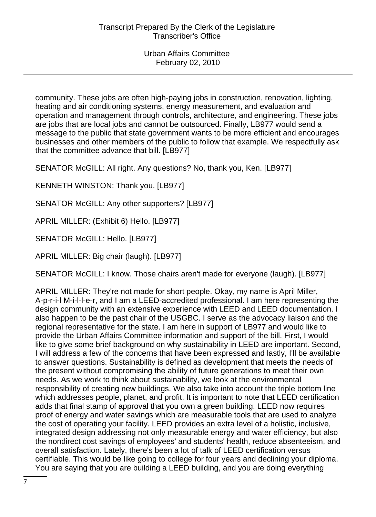community. These jobs are often high-paying jobs in construction, renovation, lighting, heating and air conditioning systems, energy measurement, and evaluation and operation and management through controls, architecture, and engineering. These jobs are jobs that are local jobs and cannot be outsourced. Finally, LB977 would send a message to the public that state government wants to be more efficient and encourages businesses and other members of the public to follow that example. We respectfully ask that the committee advance that bill. [LB977]

SENATOR McGILL: All right. Any questions? No, thank you, Ken. [LB977]

KENNETH WINSTON: Thank you. [LB977]

SENATOR McGILL: Any other supporters? [LB977]

APRIL MILLER: (Exhibit 6) Hello. [LB977]

SENATOR McGILL: Hello. [LB977]

APRIL MILLER: Big chair (laugh). [LB977]

SENATOR McGILL: I know. Those chairs aren't made for everyone (laugh). [LB977]

APRIL MILLER: They're not made for short people. Okay, my name is April Miller, A-p-r-i-l M-i-l-l-e-r, and I am a LEED-accredited professional. I am here representing the design community with an extensive experience with LEED and LEED documentation. I also happen to be the past chair of the USGBC. I serve as the advocacy liaison and the regional representative for the state. I am here in support of LB977 and would like to provide the Urban Affairs Committee information and support of the bill. First, I would like to give some brief background on why sustainability in LEED are important. Second, I will address a few of the concerns that have been expressed and lastly, I'll be available to answer questions. Sustainability is defined as development that meets the needs of the present without compromising the ability of future generations to meet their own needs. As we work to think about sustainability, we look at the environmental responsibility of creating new buildings. We also take into account the triple bottom line which addresses people, planet, and profit. It is important to note that LEED certification adds that final stamp of approval that you own a green building. LEED now requires proof of energy and water savings which are measurable tools that are used to analyze the cost of operating your facility. LEED provides an extra level of a holistic, inclusive, integrated design addressing not only measurable energy and water efficiency, but also the nondirect cost savings of employees' and students' health, reduce absenteeism, and overall satisfaction. Lately, there's been a lot of talk of LEED certification versus certifiable. This would be like going to college for four years and declining your diploma. You are saying that you are building a LEED building, and you are doing everything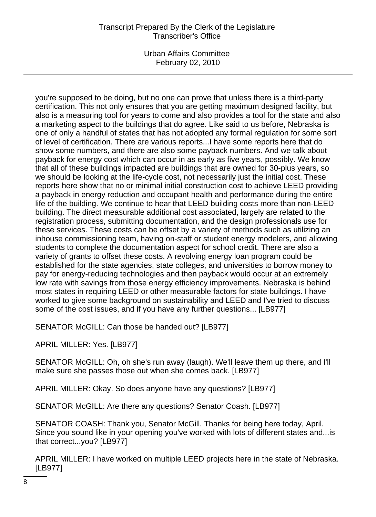Urban Affairs Committee February 02, 2010

you're supposed to be doing, but no one can prove that unless there is a third-party certification. This not only ensures that you are getting maximum designed facility, but also is a measuring tool for years to come and also provides a tool for the state and also a marketing aspect to the buildings that do agree. Like said to us before, Nebraska is one of only a handful of states that has not adopted any formal regulation for some sort of level of certification. There are various reports...I have some reports here that do show some numbers, and there are also some payback numbers. And we talk about payback for energy cost which can occur in as early as five years, possibly. We know that all of these buildings impacted are buildings that are owned for 30-plus years, so we should be looking at the life-cycle cost, not necessarily just the initial cost. These reports here show that no or minimal initial construction cost to achieve LEED providing a payback in energy reduction and occupant health and performance during the entire life of the building. We continue to hear that LEED building costs more than non-LEED building. The direct measurable additional cost associated, largely are related to the registration process, submitting documentation, and the design professionals use for these services. These costs can be offset by a variety of methods such as utilizing an inhouse commissioning team, having on-staff or student energy modelers, and allowing students to complete the documentation aspect for school credit. There are also a variety of grants to offset these costs. A revolving energy loan program could be established for the state agencies, state colleges, and universities to borrow money to pay for energy-reducing technologies and then payback would occur at an extremely low rate with savings from those energy efficiency improvements. Nebraska is behind most states in requiring LEED or other measurable factors for state buildings. I have worked to give some background on sustainability and LEED and I've tried to discuss some of the cost issues, and if you have any further questions... [LB977]

SENATOR McGILL: Can those be handed out? [LB977]

APRIL MILLER: Yes. [LB977]

SENATOR McGILL: Oh, oh she's run away (laugh). We'll leave them up there, and I'll make sure she passes those out when she comes back. [LB977]

APRIL MILLER: Okay. So does anyone have any questions? [LB977]

SENATOR McGILL: Are there any questions? Senator Coash. [LB977]

SENATOR COASH: Thank you, Senator McGill. Thanks for being here today, April. Since you sound like in your opening you've worked with lots of different states and...is that correct...you? [LB977]

APRIL MILLER: I have worked on multiple LEED projects here in the state of Nebraska. [LB977]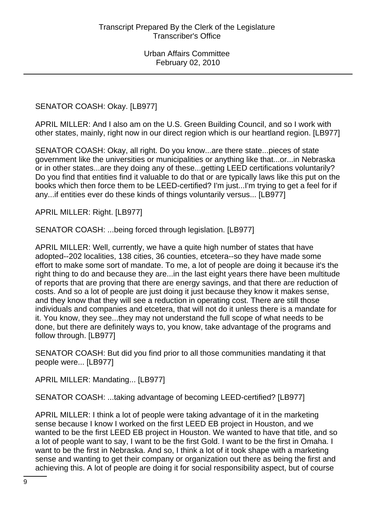SENATOR COASH: Okay. [LB977]

APRIL MILLER: And I also am on the U.S. Green Building Council, and so I work with other states, mainly, right now in our direct region which is our heartland region. [LB977]

SENATOR COASH: Okay, all right. Do you know...are there state...pieces of state government like the universities or municipalities or anything like that...or...in Nebraska or in other states...are they doing any of these...getting LEED certifications voluntarily? Do you find that entities find it valuable to do that or are typically laws like this put on the books which then force them to be LEED-certified? I'm just...I'm trying to get a feel for if any...if entities ever do these kinds of things voluntarily versus... [LB977]

APRIL MILLER: Right. [LB977]

SENATOR COASH: ...being forced through legislation. [LB977]

APRIL MILLER: Well, currently, we have a quite high number of states that have adopted--202 localities, 138 cities, 36 counties, etcetera--so they have made some effort to make some sort of mandate. To me, a lot of people are doing it because it's the right thing to do and because they are...in the last eight years there have been multitude of reports that are proving that there are energy savings, and that there are reduction of costs. And so a lot of people are just doing it just because they know it makes sense, and they know that they will see a reduction in operating cost. There are still those individuals and companies and etcetera, that will not do it unless there is a mandate for it. You know, they see...they may not understand the full scope of what needs to be done, but there are definitely ways to, you know, take advantage of the programs and follow through. [LB977]

SENATOR COASH: But did you find prior to all those communities mandating it that people were... [LB977]

APRIL MILLER: Mandating... [LB977]

SENATOR COASH: ...taking advantage of becoming LEED-certified? [LB977]

APRIL MILLER: I think a lot of people were taking advantage of it in the marketing sense because I know I worked on the first LEED EB project in Houston, and we wanted to be the first LEED EB project in Houston. We wanted to have that title, and so a lot of people want to say, I want to be the first Gold. I want to be the first in Omaha. I want to be the first in Nebraska. And so, I think a lot of it took shape with a marketing sense and wanting to get their company or organization out there as being the first and achieving this. A lot of people are doing it for social responsibility aspect, but of course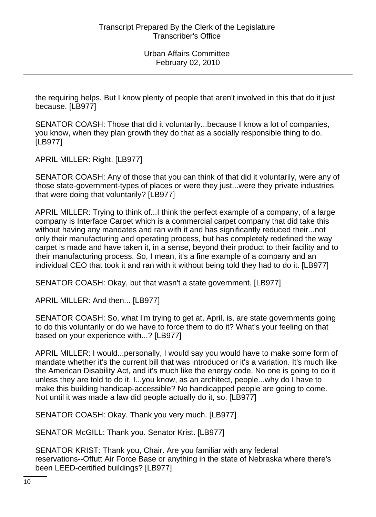the requiring helps. But I know plenty of people that aren't involved in this that do it just because. [LB977]

SENATOR COASH: Those that did it voluntarily...because I know a lot of companies, you know, when they plan growth they do that as a socially responsible thing to do. [LB977]

APRIL MILLER: Right. [LB977]

SENATOR COASH: Any of those that you can think of that did it voluntarily, were any of those state-government-types of places or were they just...were they private industries that were doing that voluntarily? [LB977]

APRIL MILLER: Trying to think of...I think the perfect example of a company, of a large company is Interface Carpet which is a commercial carpet company that did take this without having any mandates and ran with it and has significantly reduced their...not only their manufacturing and operating process, but has completely redefined the way carpet is made and have taken it, in a sense, beyond their product to their facility and to their manufacturing process. So, I mean, it's a fine example of a company and an individual CEO that took it and ran with it without being told they had to do it. [LB977]

SENATOR COASH: Okay, but that wasn't a state government. [LB977]

APRIL MILLER: And then... [LB977]

SENATOR COASH: So, what I'm trying to get at, April, is, are state governments going to do this voluntarily or do we have to force them to do it? What's your feeling on that based on your experience with...? [LB977]

APRIL MILLER: I would...personally, I would say you would have to make some form of mandate whether it's the current bill that was introduced or it's a variation. It's much like the American Disability Act, and it's much like the energy code. No one is going to do it unless they are told to do it. I...you know, as an architect, people...why do I have to make this building handicap-accessible? No handicapped people are going to come. Not until it was made a law did people actually do it, so. [LB977]

SENATOR COASH: Okay. Thank you very much. [LB977]

SENATOR McGILL: Thank you. Senator Krist. [LB977]

SENATOR KRIST: Thank you, Chair. Are you familiar with any federal reservations--Offutt Air Force Base or anything in the state of Nebraska where there's been LEED-certified buildings? [LB977]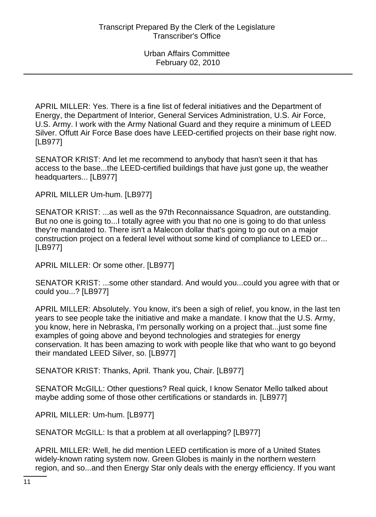APRIL MILLER: Yes. There is a fine list of federal initiatives and the Department of Energy, the Department of Interior, General Services Administration, U.S. Air Force, U.S. Army. I work with the Army National Guard and they require a minimum of LEED Silver. Offutt Air Force Base does have LEED-certified projects on their base right now. [LB977]

SENATOR KRIST: And let me recommend to anybody that hasn't seen it that has access to the base...the LEED-certified buildings that have just gone up, the weather headquarters... [LB977]

APRIL MILLER Um-hum. [LB977]

SENATOR KRIST: ...as well as the 97th Reconnaissance Squadron, are outstanding. But no one is going to...I totally agree with you that no one is going to do that unless they're mandated to. There isn't a Malecon dollar that's going to go out on a major construction project on a federal level without some kind of compliance to LEED or... [LB977]

APRIL MILLER: Or some other. [LB977]

SENATOR KRIST: ...some other standard. And would you...could you agree with that or could you...? [LB977]

APRIL MILLER: Absolutely. You know, it's been a sigh of relief, you know, in the last ten years to see people take the initiative and make a mandate. I know that the U.S. Army, you know, here in Nebraska, I'm personally working on a project that...just some fine examples of going above and beyond technologies and strategies for energy conservation. It has been amazing to work with people like that who want to go beyond their mandated LEED Silver, so. [LB977]

SENATOR KRIST: Thanks, April. Thank you, Chair. [LB977]

SENATOR McGILL: Other questions? Real quick, I know Senator Mello talked about maybe adding some of those other certifications or standards in. [LB977]

APRIL MILLER: Um-hum. [LB977]

SENATOR McGILL: Is that a problem at all overlapping? [LB977]

APRIL MILLER: Well, he did mention LEED certification is more of a United States widely-known rating system now. Green Globes is mainly in the northern western region, and so...and then Energy Star only deals with the energy efficiency. If you want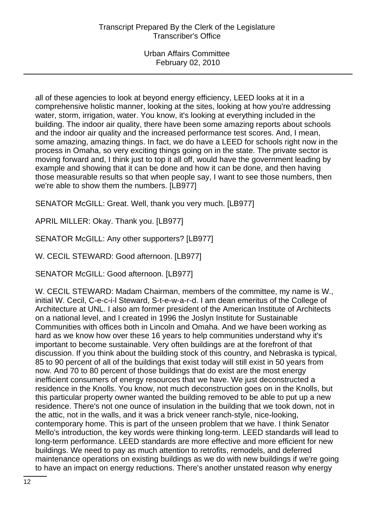all of these agencies to look at beyond energy efficiency, LEED looks at it in a comprehensive holistic manner, looking at the sites, looking at how you're addressing water, storm, irrigation, water. You know, it's looking at everything included in the building. The indoor air quality, there have been some amazing reports about schools and the indoor air quality and the increased performance test scores. And, I mean, some amazing, amazing things. In fact, we do have a LEED for schools right now in the process in Omaha, so very exciting things going on in the state. The private sector is moving forward and, I think just to top it all off, would have the government leading by example and showing that it can be done and how it can be done, and then having those measurable results so that when people say, I want to see those numbers, then we're able to show them the numbers. [LB977]

SENATOR McGILL: Great. Well, thank you very much. [LB977]

APRIL MILLER: Okay. Thank you. [LB977]

SENATOR McGILL: Any other supporters? [LB977]

W. CECIL STEWARD: Good afternoon. [LB977]

SENATOR McGILL: Good afternoon. [LB977]

W. CECIL STEWARD: Madam Chairman, members of the committee, my name is W., initial W. Cecil, C-e-c-i-l Steward, S-t-e-w-a-r-d. I am dean emeritus of the College of Architecture at UNL. I also am former president of the American Institute of Architects on a national level, and I created in 1996 the Joslyn Institute for Sustainable Communities with offices both in Lincoln and Omaha. And we have been working as hard as we know how over these 16 years to help communities understand why it's important to become sustainable. Very often buildings are at the forefront of that discussion. If you think about the building stock of this country, and Nebraska is typical, 85 to 90 percent of all of the buildings that exist today will still exist in 50 years from now. And 70 to 80 percent of those buildings that do exist are the most energy inefficient consumers of energy resources that we have. We just deconstructed a residence in the Knolls. You know, not much deconstruction goes on in the Knolls, but this particular property owner wanted the building removed to be able to put up a new residence. There's not one ounce of insulation in the building that we took down, not in the attic, not in the walls, and it was a brick veneer ranch-style, nice-looking, contemporary home. This is part of the unseen problem that we have. I think Senator Mello's introduction, the key words were thinking long-term. LEED standards will lead to long-term performance. LEED standards are more effective and more efficient for new buildings. We need to pay as much attention to retrofits, remodels, and deferred maintenance operations on existing buildings as we do with new buildings if we're going to have an impact on energy reductions. There's another unstated reason why energy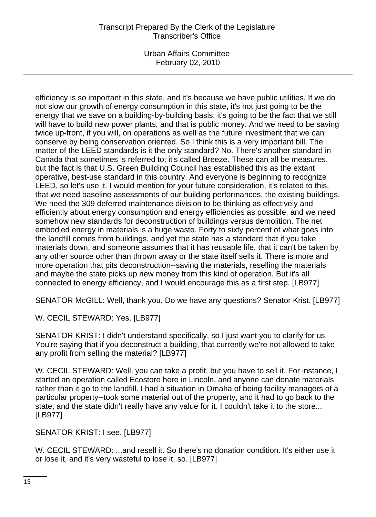Urban Affairs Committee February 02, 2010

efficiency is so important in this state, and it's because we have public utilities. If we do not slow our growth of energy consumption in this state, it's not just going to be the energy that we save on a building-by-building basis, it's going to be the fact that we still will have to build new power plants, and that is public money. And we need to be saving twice up-front, if you will, on operations as well as the future investment that we can conserve by being conservation oriented. So I think this is a very important bill. The matter of the LEED standards is it the only standard? No. There's another standard in Canada that sometimes is referred to; it's called Breeze. These can all be measures, but the fact is that U.S. Green Building Council has established this as the extant operative, best-use standard in this country. And everyone is beginning to recognize LEED, so let's use it. I would mention for your future consideration, it's related to this, that we need baseline assessments of our building performances, the existing buildings. We need the 309 deferred maintenance division to be thinking as effectively and efficiently about energy consumption and energy efficiencies as possible, and we need somehow new standards for deconstruction of buildings versus demolition. The net embodied energy in materials is a huge waste. Forty to sixty percent of what goes into the landfill comes from buildings, and yet the state has a standard that if you take materials down, and someone assumes that it has reusable life, that it can't be taken by any other source other than thrown away or the state itself sells it. There is more and more operation that pits deconstruction--saving the materials, reselling the materials and maybe the state picks up new money from this kind of operation. But it's all connected to energy efficiency, and I would encourage this as a first step. [LB977]

SENATOR McGILL: Well, thank you. Do we have any questions? Senator Krist. [LB977]

W. CECIL STEWARD: Yes. [LB977]

SENATOR KRIST: I didn't understand specifically, so I just want you to clarify for us. You're saying that if you deconstruct a building, that currently we're not allowed to take any profit from selling the material? [LB977]

W. CECIL STEWARD: Well, you can take a profit, but you have to sell it. For instance, I started an operation called Ecostore here in Lincoln, and anyone can donate materials rather than it go to the landfill. I had a situation in Omaha of being facility managers of a particular property--took some material out of the property, and it had to go back to the state, and the state didn't really have any value for it. I couldn't take it to the store... [LB977]

SENATOR KRIST: I see. [LB977]

W. CECIL STEWARD: ...and resell it. So there's no donation condition. It's either use it or lose it, and it's very wasteful to lose it, so. [LB977]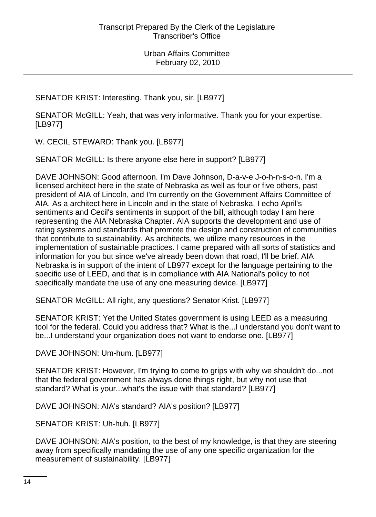SENATOR KRIST: Interesting. Thank you, sir. [LB977]

SENATOR McGILL: Yeah, that was very informative. Thank you for your expertise. [LB977]

W. CECIL STEWARD: Thank you. [LB977]

SENATOR McGILL: Is there anyone else here in support? [LB977]

DAVE JOHNSON: Good afternoon. I'm Dave Johnson, D-a-v-e J-o-h-n-s-o-n. I'm a licensed architect here in the state of Nebraska as well as four or five others, past president of AIA of Lincoln, and I'm currently on the Government Affairs Committee of AIA. As a architect here in Lincoln and in the state of Nebraska, I echo April's sentiments and Cecil's sentiments in support of the bill, although today I am here representing the AIA Nebraska Chapter. AIA supports the development and use of rating systems and standards that promote the design and construction of communities that contribute to sustainability. As architects, we utilize many resources in the implementation of sustainable practices. I came prepared with all sorts of statistics and information for you but since we've already been down that road, I'll be brief. AIA Nebraska is in support of the intent of LB977 except for the language pertaining to the specific use of LEED, and that is in compliance with AIA National's policy to not specifically mandate the use of any one measuring device. [LB977]

SENATOR McGILL: All right, any questions? Senator Krist. [LB977]

SENATOR KRIST: Yet the United States government is using LEED as a measuring tool for the federal. Could you address that? What is the...I understand you don't want to be...I understand your organization does not want to endorse one. [LB977]

DAVE JOHNSON: Um-hum. [LB977]

SENATOR KRIST: However, I'm trying to come to grips with why we shouldn't do...not that the federal government has always done things right, but why not use that standard? What is your...what's the issue with that standard? [LB977]

DAVE JOHNSON: AIA's standard? AIA's position? [LB977]

SENATOR KRIST: Uh-huh. [LB977]

DAVE JOHNSON: AIA's position, to the best of my knowledge, is that they are steering away from specifically mandating the use of any one specific organization for the measurement of sustainability. [LB977]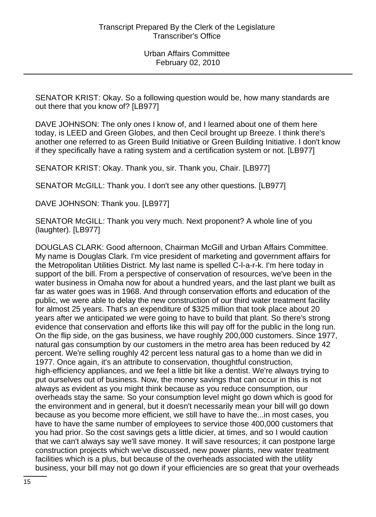SENATOR KRIST: Okay. So a following question would be, how many standards are out there that you know of? [LB977]

DAVE JOHNSON: The only ones I know of, and I learned about one of them here today, is LEED and Green Globes, and then Cecil brought up Breeze. I think there's another one referred to as Green Build Initiative or Green Building Initiative. I don't know if they specifically have a rating system and a certification system or not. [LB977]

SENATOR KRIST: Okay. Thank you, sir. Thank you, Chair. [LB977]

SENATOR McGILL: Thank you. I don't see any other questions. [LB977]

DAVE JOHNSON: Thank you. [LB977]

SENATOR McGILL: Thank you very much. Next proponent? A whole line of you (laughter). [LB977]

DOUGLAS CLARK: Good afternoon, Chairman McGill and Urban Affairs Committee. My name is Douglas Clark. I'm vice president of marketing and government affairs for the Metropolitan Utilities District. My last name is spelled C-l-a-r-k. I'm here today in support of the bill. From a perspective of conservation of resources, we've been in the water business in Omaha now for about a hundred years, and the last plant we built as far as water goes was in 1968. And through conservation efforts and education of the public, we were able to delay the new construction of our third water treatment facility for almost 25 years. That's an expenditure of \$325 million that took place about 20 years after we anticipated we were going to have to build that plant. So there's strong evidence that conservation and efforts like this will pay off for the public in the long run. On the flip side, on the gas business, we have roughly 200,000 customers. Since 1977, natural gas consumption by our customers in the metro area has been reduced by 42 percent. We're selling roughly 42 percent less natural gas to a home than we did in 1977. Once again, it's an attribute to conservation, thoughtful construction, high-efficiency appliances, and we feel a little bit like a dentist. We're always trying to put ourselves out of business. Now, the money savings that can occur in this is not always as evident as you might think because as you reduce consumption, our overheads stay the same. So your consumption level might go down which is good for the environment and in general, but it doesn't necessarily mean your bill will go down because as you become more efficient, we still have to have the...in most cases, you have to have the same number of employees to service those 400,000 customers that you had prior. So the cost savings gets a little dicier, at times, and so I would caution that we can't always say we'll save money. It will save resources; it can postpone large construction projects which we've discussed, new power plants, new water treatment facilities which is a plus, but because of the overheads associated with the utility business, your bill may not go down if your efficiencies are so great that your overheads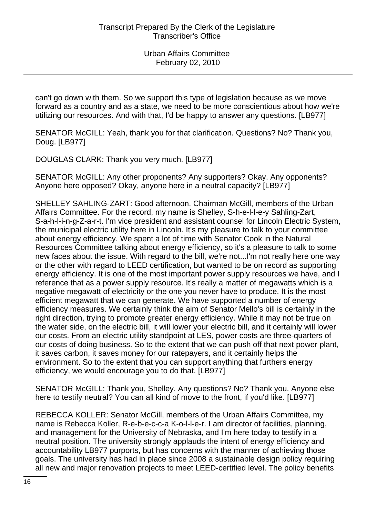can't go down with them. So we support this type of legislation because as we move forward as a country and as a state, we need to be more conscientious about how we're utilizing our resources. And with that, I'd be happy to answer any questions. [LB977]

SENATOR McGILL: Yeah, thank you for that clarification. Questions? No? Thank you, Doug. [LB977]

DOUGLAS CLARK: Thank you very much. [LB977]

SENATOR McGILL: Any other proponents? Any supporters? Okay. Any opponents? Anyone here opposed? Okay, anyone here in a neutral capacity? [LB977]

SHELLEY SAHLING-ZART: Good afternoon, Chairman McGill, members of the Urban Affairs Committee. For the record, my name is Shelley, S-h-e-l-l-e-y Sahling-Zart, S-a-h-l-i-n-g-Z-a-r-t. I'm vice president and assistant counsel for Lincoln Electric System, the municipal electric utility here in Lincoln. It's my pleasure to talk to your committee about energy efficiency. We spent a lot of time with Senator Cook in the Natural Resources Committee talking about energy efficiency, so it's a pleasure to talk to some new faces about the issue. With regard to the bill, we're not...I'm not really here one way or the other with regard to LEED certification, but wanted to be on record as supporting energy efficiency. It is one of the most important power supply resources we have, and I reference that as a power supply resource. It's really a matter of megawatts which is a negative megawatt of electricity or the one you never have to produce. It is the most efficient megawatt that we can generate. We have supported a number of energy efficiency measures. We certainly think the aim of Senator Mello's bill is certainly in the right direction, trying to promote greater energy efficiency. While it may not be true on the water side, on the electric bill, it will lower your electric bill, and it certainly will lower our costs. From an electric utility standpoint at LES, power costs are three-quarters of our costs of doing business. So to the extent that we can push off that next power plant, it saves carbon, it saves money for our ratepayers, and it certainly helps the environment. So to the extent that you can support anything that furthers energy efficiency, we would encourage you to do that. [LB977]

SENATOR McGILL: Thank you, Shelley. Any questions? No? Thank you. Anyone else here to testify neutral? You can all kind of move to the front, if you'd like. [LB977]

REBECCA KOLLER: Senator McGill, members of the Urban Affairs Committee, my name is Rebecca Koller, R-e-b-e-c-c-a K-o-l-l-e-r. I am director of facilities, planning, and management for the University of Nebraska, and I'm here today to testify in a neutral position. The university strongly applauds the intent of energy efficiency and accountability LB977 purports, but has concerns with the manner of achieving those goals. The university has had in place since 2008 a sustainable design policy requiring all new and major renovation projects to meet LEED-certified level. The policy benefits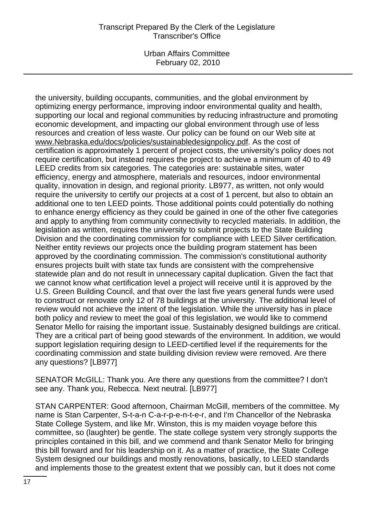Urban Affairs Committee February 02, 2010

the university, building occupants, communities, and the global environment by optimizing energy performance, improving indoor environmental quality and health, supporting our local and regional communities by reducing infrastructure and promoting economic development, and impacting our global environment through use of less resources and creation of less waste. Our policy can be found on our Web site at www.Nebraska.edu/docs/policies/sustainabledesignpolicy.pdf. As the cost of certification is approximately 1 percent of project costs, the university's policy does not require certification, but instead requires the project to achieve a minimum of 40 to 49 LEED credits from six categories. The categories are: sustainable sites, water efficiency, energy and atmosphere, materials and resources, indoor environmental quality, innovation in design, and regional priority. LB977, as written, not only would require the university to certify our projects at a cost of 1 percent, but also to obtain an additional one to ten LEED points. Those additional points could potentially do nothing to enhance energy efficiency as they could be gained in one of the other five categories and apply to anything from community connectivity to recycled materials. In addition, the legislation as written, requires the university to submit projects to the State Building Division and the coordinating commission for compliance with LEED Silver certification. Neither entity reviews our projects once the building program statement has been approved by the coordinating commission. The commission's constitutional authority ensures projects built with state tax funds are consistent with the comprehensive statewide plan and do not result in unnecessary capital duplication. Given the fact that we cannot know what certification level a project will receive until it is approved by the U.S. Green Building Council, and that over the last five years general funds were used to construct or renovate only 12 of 78 buildings at the university. The additional level of review would not achieve the intent of the legislation. While the university has in place both policy and review to meet the goal of this legislation, we would like to commend Senator Mello for raising the important issue. Sustainably designed buildings are critical. They are a critical part of being good stewards of the environment. In addition, we would support legislation requiring design to LEED-certified level if the requirements for the coordinating commission and state building division review were removed. Are there any questions? [LB977]

SENATOR McGILL: Thank you. Are there any questions from the committee? I don't see any. Thank you, Rebecca. Next neutral. [LB977]

STAN CARPENTER: Good afternoon, Chairman McGill, members of the committee. My name is Stan Carpenter, S-t-a-n C-a-r-p-e-n-t-e-r, and I'm Chancellor of the Nebraska State College System, and like Mr. Winston, this is my maiden voyage before this committee, so (laughter) be gentle. The state college system very strongly supports the principles contained in this bill, and we commend and thank Senator Mello for bringing this bill forward and for his leadership on it. As a matter of practice, the State College System designed our buildings and mostly renovations, basically, to LEED standards and implements those to the greatest extent that we possibly can, but it does not come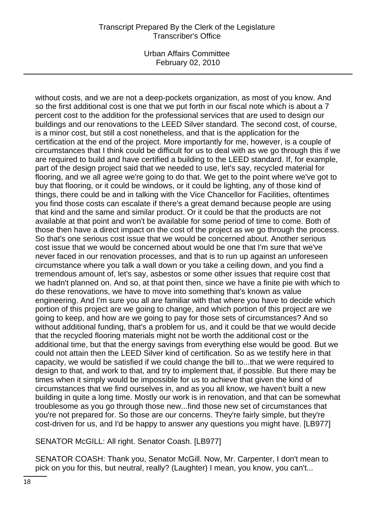Urban Affairs Committee February 02, 2010

without costs, and we are not a deep-pockets organization, as most of you know. And so the first additional cost is one that we put forth in our fiscal note which is about a 7 percent cost to the addition for the professional services that are used to design our buildings and our renovations to the LEED Silver standard. The second cost, of course, is a minor cost, but still a cost nonetheless, and that is the application for the certification at the end of the project. More importantly for me, however, is a couple of circumstances that I think could be difficult for us to deal with as we go through this if we are required to build and have certified a building to the LEED standard. If, for example, part of the design project said that we needed to use, let's say, recycled material for flooring, and we all agree we're going to do that. We get to the point where we've got to buy that flooring, or it could be windows, or it could be lighting, any of those kind of things, there could be and in talking with the Vice Chancellor for Facilities, oftentimes you find those costs can escalate if there's a great demand because people are using that kind and the same and similar product. Or it could be that the products are not available at that point and won't be available for some period of time to come. Both of those then have a direct impact on the cost of the project as we go through the process. So that's one serious cost issue that we would be concerned about. Another serious cost issue that we would be concerned about would be one that I'm sure that we've never faced in our renovation processes, and that is to run up against an unforeseen circumstance where you talk a wall down or you take a ceiling down, and you find a tremendous amount of, let's say, asbestos or some other issues that require cost that we hadn't planned on. And so, at that point then, since we have a finite pie with which to do these renovations, we have to move into something that's known as value engineering. And I'm sure you all are familiar with that where you have to decide which portion of this project are we going to change, and which portion of this project are we going to keep, and how are we going to pay for those sets of circumstances? And so without additional funding, that's a problem for us, and it could be that we would decide that the recycled flooring materials might not be worth the additional cost or the additional time, but that the energy savings from everything else would be good. But we could not attain then the LEED Silver kind of certification. So as we testify here in that capacity, we would be satisfied if we could change the bill to...that we were required to design to that, and work to that, and try to implement that, if possible. But there may be times when it simply would be impossible for us to achieve that given the kind of circumstances that we find ourselves in, and as you all know, we haven't built a new building in quite a long time. Mostly our work is in renovation, and that can be somewhat troublesome as you go through those new...find those new set of circumstances that you're not prepared for. So those are our concerns. They're fairly simple, but they're cost-driven for us, and I'd be happy to answer any questions you might have. [LB977]

SENATOR McGILL: All right. Senator Coash. [LB977]

SENATOR COASH: Thank you, Senator McGill. Now, Mr. Carpenter, I don't mean to pick on you for this, but neutral, really? (Laughter) I mean, you know, you can't...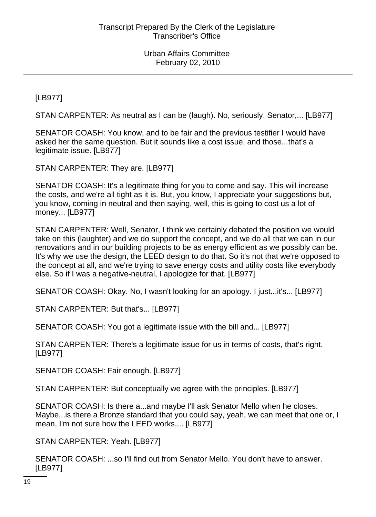[LB977]

STAN CARPENTER: As neutral as I can be (laugh). No, seriously, Senator,... [LB977]

SENATOR COASH: You know, and to be fair and the previous testifier I would have asked her the same question. But it sounds like a cost issue, and those...that's a legitimate issue. [LB977]

STAN CARPENTER: They are. [LB977]

SENATOR COASH: It's a legitimate thing for you to come and say. This will increase the costs, and we're all tight as it is. But, you know, I appreciate your suggestions but, you know, coming in neutral and then saying, well, this is going to cost us a lot of money... [LB977]

STAN CARPENTER: Well, Senator, I think we certainly debated the position we would take on this (laughter) and we do support the concept, and we do all that we can in our renovations and in our building projects to be as energy efficient as we possibly can be. It's why we use the design, the LEED design to do that. So it's not that we're opposed to the concept at all, and we're trying to save energy costs and utility costs like everybody else. So if I was a negative-neutral, I apologize for that. [LB977]

SENATOR COASH: Okay. No, I wasn't looking for an apology. I just...it's... [LB977]

STAN CARPENTER: But that's... [LB977]

SENATOR COASH: You got a legitimate issue with the bill and... [LB977]

STAN CARPENTER: There's a legitimate issue for us in terms of costs, that's right. [LB977]

SENATOR COASH: Fair enough. [LB977]

STAN CARPENTER: But conceptually we agree with the principles. [LB977]

SENATOR COASH: Is there a...and maybe I'll ask Senator Mello when he closes. Maybe...is there a Bronze standard that you could say, yeah, we can meet that one or, I mean, I'm not sure how the LEED works,... [LB977]

STAN CARPENTER: Yeah. [LB977]

SENATOR COASH: ...so I'll find out from Senator Mello. You don't have to answer. [LB977]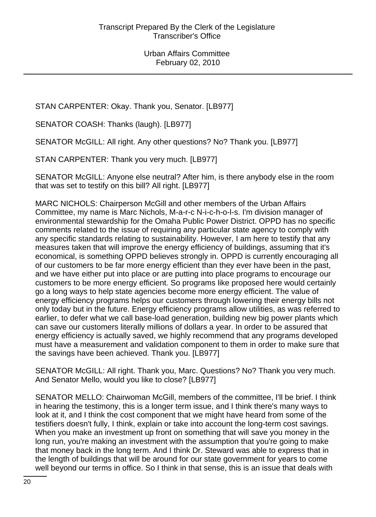STAN CARPENTER: Okay. Thank you, Senator. [LB977]

SENATOR COASH: Thanks (laugh). [LB977]

SENATOR McGILL: All right. Any other questions? No? Thank you. [LB977]

STAN CARPENTER: Thank you very much. [LB977]

SENATOR McGILL: Anyone else neutral? After him, is there anybody else in the room that was set to testify on this bill? All right. [LB977]

MARC NICHOLS: Chairperson McGill and other members of the Urban Affairs Committee, my name is Marc Nichols, M-a-r-c N-i-c-h-o-l-s. I'm division manager of environmental stewardship for the Omaha Public Power District. OPPD has no specific comments related to the issue of requiring any particular state agency to comply with any specific standards relating to sustainability. However, I am here to testify that any measures taken that will improve the energy efficiency of buildings, assuming that it's economical, is something OPPD believes strongly in. OPPD is currently encouraging all of our customers to be far more energy efficient than they ever have been in the past, and we have either put into place or are putting into place programs to encourage our customers to be more energy efficient. So programs like proposed here would certainly go a long ways to help state agencies become more energy efficient. The value of energy efficiency programs helps our customers through lowering their energy bills not only today but in the future. Energy efficiency programs allow utilities, as was referred to earlier, to defer what we call base-load generation, building new big power plants which can save our customers literally millions of dollars a year. In order to be assured that energy efficiency is actually saved, we highly recommend that any programs developed must have a measurement and validation component to them in order to make sure that the savings have been achieved. Thank you. [LB977]

SENATOR McGILL: All right. Thank you, Marc. Questions? No? Thank you very much. And Senator Mello, would you like to close? [LB977]

SENATOR MELLO: Chairwoman McGill, members of the committee, I'll be brief. I think in hearing the testimony, this is a longer term issue, and I think there's many ways to look at it, and I think the cost component that we might have heard from some of the testifiers doesn't fully, I think, explain or take into account the long-term cost savings. When you make an investment up front on something that will save you money in the long run, you're making an investment with the assumption that you're going to make that money back in the long term. And I think Dr. Steward was able to express that in the length of buildings that will be around for our state government for years to come well beyond our terms in office. So I think in that sense, this is an issue that deals with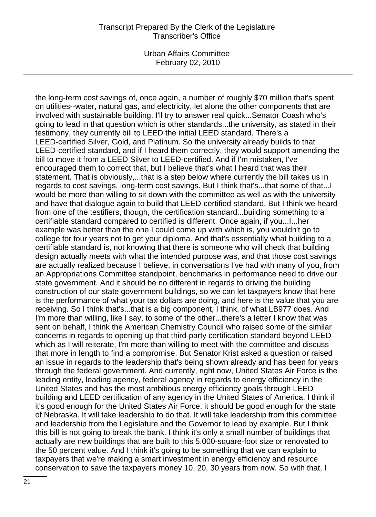Urban Affairs Committee February 02, 2010

the long-term cost savings of, once again, a number of roughly \$70 million that's spent on utilities--water, natural gas, and electricity, let alone the other components that are involved with sustainable building. I'll try to answer real quick...Senator Coash who's going to lead in that question which is other standards...the university, as stated in their testimony, they currently bill to LEED the initial LEED standard. There's a LEED-certified Silver, Gold, and Platinum. So the university already builds to that LEED-certified standard, and if I heard them correctly, they would support amending the bill to move it from a LEED Silver to LEED-certified. And if I'm mistaken, I've encouraged them to correct that, but I believe that's what I heard that was their statement. That is obviously,...that is a step below where currently the bill takes us in regards to cost savings, long-term cost savings. But I think that's...that some of that...I would be more than willing to sit down with the committee as well as with the university and have that dialogue again to build that LEED-certified standard. But I think we heard from one of the testifiers, though, the certification standard...building something to a certifiable standard compared to certified is different. Once again, if you...I...her example was better than the one I could come up with which is, you wouldn't go to college for four years not to get your diploma. And that's essentially what building to a certifiable standard is, not knowing that there is someone who will check that building design actually meets with what the intended purpose was, and that those cost savings are actually realized because I believe, in conversations I've had with many of you, from an Appropriations Committee standpoint, benchmarks in performance need to drive our state government. And it should be no different in regards to driving the building construction of our state government buildings, so we can let taxpayers know that here is the performance of what your tax dollars are doing, and here is the value that you are receiving. So I think that's...that is a big component, I think, of what LB977 does. And I'm more than willing, like I say, to some of the other...there's a letter I know that was sent on behalf, I think the American Chemistry Council who raised some of the similar concerns in regards to opening up that third-party certification standard beyond LEED which as I will reiterate, I'm more than willing to meet with the committee and discuss that more in length to find a compromise. But Senator Krist asked a question or raised an issue in regards to the leadership that's being shown already and has been for years through the federal government. And currently, right now, United States Air Force is the leading entity, leading agency, federal agency in regards to energy efficiency in the United States and has the most ambitious energy efficiency goals through LEED building and LEED certification of any agency in the United States of America. I think if it's good enough for the United States Air Force, it should be good enough for the state of Nebraska. It will take leadership to do that. It will take leadership from this committee and leadership from the Legislature and the Governor to lead by example. But I think this bill is not going to break the bank. I think it's only a small number of buildings that actually are new buildings that are built to this 5,000-square-foot size or renovated to the 50 percent value. And I think it's going to be something that we can explain to taxpayers that we're making a smart investment in energy efficiency and resource conservation to save the taxpayers money 10, 20, 30 years from now. So with that, I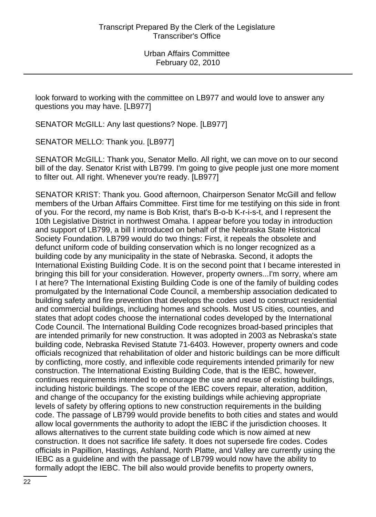look forward to working with the committee on LB977 and would love to answer any questions you may have. [LB977]

SENATOR McGILL: Any last questions? Nope. [LB977]

SENATOR MELLO: Thank you. [LB977]

SENATOR McGILL: Thank you, Senator Mello. All right, we can move on to our second bill of the day. Senator Krist with LB799. I'm going to give people just one more moment to filter out. All right. Whenever you're ready. [LB977]

SENATOR KRIST: Thank you. Good afternoon, Chairperson Senator McGill and fellow members of the Urban Affairs Committee. First time for me testifying on this side in front of you. For the record, my name is Bob Krist, that's B-o-b K-r-i-s-t, and I represent the 10th Legislative District in northwest Omaha. I appear before you today in introduction and support of LB799, a bill I introduced on behalf of the Nebraska State Historical Society Foundation. LB799 would do two things: First, it repeals the obsolete and defunct uniform code of building conservation which is no longer recognized as a building code by any municipality in the state of Nebraska. Second, it adopts the International Existing Building Code. It is on the second point that I became interested in bringing this bill for your consideration. However, property owners...I'm sorry, where am I at here? The International Existing Building Code is one of the family of building codes promulgated by the International Code Council, a membership association dedicated to building safety and fire prevention that develops the codes used to construct residential and commercial buildings, including homes and schools. Most US cities, counties, and states that adopt codes choose the international codes developed by the International Code Council. The International Building Code recognizes broad-based principles that are intended primarily for new construction. It was adopted in 2003 as Nebraska's state building code, Nebraska Revised Statute 71-6403. However, property owners and code officials recognized that rehabilitation of older and historic buildings can be more difficult by conflicting, more costly, and inflexible code requirements intended primarily for new construction. The International Existing Building Code, that is the IEBC, however, continues requirements intended to encourage the use and reuse of existing buildings, including historic buildings. The scope of the IEBC covers repair, alteration, addition, and change of the occupancy for the existing buildings while achieving appropriate levels of safety by offering options to new construction requirements in the building code. The passage of LB799 would provide benefits to both cities and states and would allow local governments the authority to adopt the IEBC if the jurisdiction chooses. It allows alternatives to the current state building code which is now aimed at new construction. It does not sacrifice life safety. It does not supersede fire codes. Codes officials in Papillion, Hastings, Ashland, North Platte, and Valley are currently using the IEBC as a guideline and with the passage of LB799 would now have the ability to formally adopt the IEBC. The bill also would provide benefits to property owners,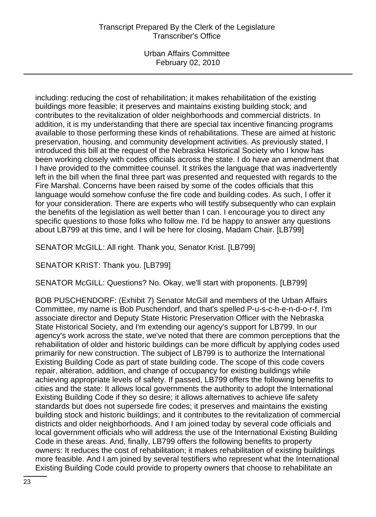Urban Affairs Committee February 02, 2010

including: reducing the cost of rehabilitation; it makes rehabilitation of the existing buildings more feasible; it preserves and maintains existing building stock; and contributes to the revitalization of older neighborhoods and commercial districts. In addition, it is my understanding that there are special tax incentive financing programs available to those performing these kinds of rehabilitations. These are aimed at historic preservation, housing, and community development activities. As previously stated, I introduced this bill at the request of the Nebraska Historical Society who I know has been working closely with codes officials across the state. I do have an amendment that I have provided to the committee counsel. It strikes the language that was inadvertently left in the bill when the final three part was presented and requested with regards to the Fire Marshal. Concerns have been raised by some of the codes officials that this language would somehow confuse the fire code and building codes. As such, I offer it for your consideration. There are experts who will testify subsequently who can explain the benefits of the legislation as well better than I can. I encourage you to direct any specific questions to those folks who follow me. I'd be happy to answer any questions about LB799 at this time, and I will be here for closing, Madam Chair. [LB799]

SENATOR McGILL: All right. Thank you, Senator Krist. [LB799]

SENATOR KRIST: Thank you. [LB799]

SENATOR McGILL: Questions? No. Okay, we'll start with proponents. [LB799]

BOB PUSCHENDORF: (Exhibit 7) Senator McGill and members of the Urban Affairs Committee, my name is Bob Puschendorf, and that's spelled P-u-s-c-h-e-n-d-o-r-f. I'm associate director and Deputy State Historic Preservation Officer with the Nebraska State Historical Society, and I'm extending our agency's support for LB799. In our agency's work across the state, we've noted that there are common perceptions that the rehabilitation of older and historic buildings can be more difficult by applying codes used primarily for new construction. The subject of LB799 is to authorize the International Existing Building Code as part of state building code. The scope of this code covers repair, alteration, addition, and change of occupancy for existing buildings while achieving appropriate levels of safety. If passed, LB799 offers the following benefits to cities and the state: It allows local governments the authority to adopt the International Existing Building Code if they so desire; it allows alternatives to achieve life safety standards but does not supersede fire codes; it preserves and maintains the existing building stock and historic buildings; and it contributes to the revitalization of commercial districts and older neighborhoods. And I am joined today by several code officials and local government officials who will address the use of the International Existing Building Code in these areas. And, finally, LB799 offers the following benefits to property owners: It reduces the cost of rehabilitation; it makes rehabilitation of existing buildings more feasible. And I am joined by several testifiers who represent what the International Existing Building Code could provide to property owners that choose to rehabilitate an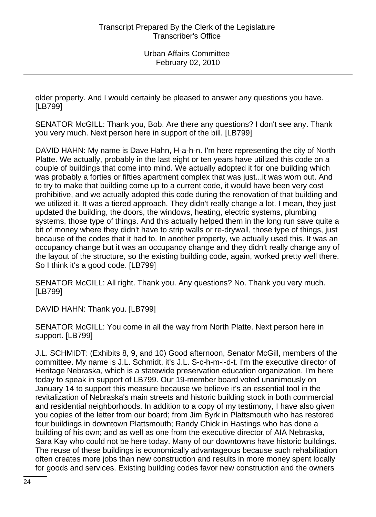older property. And I would certainly be pleased to answer any questions you have. [LB799]

SENATOR McGILL: Thank you, Bob. Are there any questions? I don't see any. Thank you very much. Next person here in support of the bill. [LB799]

DAVID HAHN: My name is Dave Hahn, H-a-h-n. I'm here representing the city of North Platte. We actually, probably in the last eight or ten years have utilized this code on a couple of buildings that come into mind. We actually adopted it for one building which was probably a forties or fifties apartment complex that was just...it was worn out. And to try to make that building come up to a current code, it would have been very cost prohibitive, and we actually adopted this code during the renovation of that building and we utilized it. It was a tiered approach. They didn't really change a lot. I mean, they just updated the building, the doors, the windows, heating, electric systems, plumbing systems, those type of things. And this actually helped them in the long run save quite a bit of money where they didn't have to strip walls or re-drywall, those type of things, just because of the codes that it had to. In another property, we actually used this. It was an occupancy change but it was an occupancy change and they didn't really change any of the layout of the structure, so the existing building code, again, worked pretty well there. So I think it's a good code. [LB799]

SENATOR McGILL: All right. Thank you. Any questions? No. Thank you very much. [LB799]

DAVID HAHN: Thank you. [LB799]

SENATOR McGILL: You come in all the way from North Platte. Next person here in support. [LB799]

J.L. SCHMIDT: (Exhibits 8, 9, and 10) Good afternoon, Senator McGill, members of the committee. My name is J.L. Schmidt, it's J.L. S-c-h-m-i-d-t. I'm the executive director of Heritage Nebraska, which is a statewide preservation education organization. I'm here today to speak in support of LB799. Our 19-member board voted unanimously on January 14 to support this measure because we believe it's an essential tool in the revitalization of Nebraska's main streets and historic building stock in both commercial and residential neighborhoods. In addition to a copy of my testimony, I have also given you copies of the letter from our board; from Jim Byrk in Plattsmouth who has restored four buildings in downtown Plattsmouth; Randy Chick in Hastings who has done a building of his own; and as well as one from the executive director of AIA Nebraska, Sara Kay who could not be here today. Many of our downtowns have historic buildings. The reuse of these buildings is economically advantageous because such rehabilitation often creates more jobs than new construction and results in more money spent locally for goods and services. Existing building codes favor new construction and the owners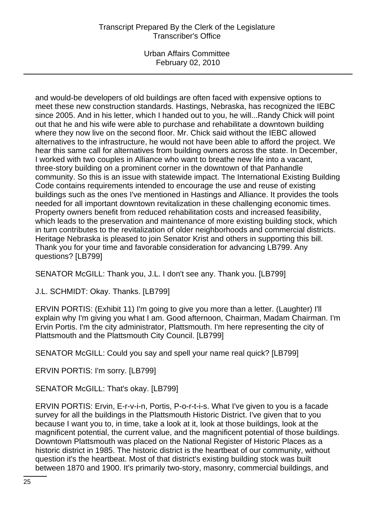Urban Affairs Committee February 02, 2010

and would-be developers of old buildings are often faced with expensive options to meet these new construction standards. Hastings, Nebraska, has recognized the IEBC since 2005. And in his letter, which I handed out to you, he will...Randy Chick will point out that he and his wife were able to purchase and rehabilitate a downtown building where they now live on the second floor. Mr. Chick said without the IEBC allowed alternatives to the infrastructure, he would not have been able to afford the project. We hear this same call for alternatives from building owners across the state. In December, I worked with two couples in Alliance who want to breathe new life into a vacant, three-story building on a prominent corner in the downtown of that Panhandle community. So this is an issue with statewide impact. The International Existing Building Code contains requirements intended to encourage the use and reuse of existing buildings such as the ones I've mentioned in Hastings and Alliance. It provides the tools needed for all important downtown revitalization in these challenging economic times. Property owners benefit from reduced rehabilitation costs and increased feasibility, which leads to the preservation and maintenance of more existing building stock, which in turn contributes to the revitalization of older neighborhoods and commercial districts. Heritage Nebraska is pleased to join Senator Krist and others in supporting this bill. Thank you for your time and favorable consideration for advancing LB799. Any questions? [LB799]

SENATOR McGILL: Thank you, J.L. I don't see any. Thank you. [LB799]

J.L. SCHMIDT: Okay. Thanks. [LB799]

ERVIN PORTIS: (Exhibit 11) I'm going to give you more than a letter. (Laughter) I'll explain why I'm giving you what I am. Good afternoon, Chairman, Madam Chairman. I'm Ervin Portis. I'm the city administrator, Plattsmouth. I'm here representing the city of Plattsmouth and the Plattsmouth City Council. [LB799]

SENATOR McGILL: Could you say and spell your name real quick? [LB799]

ERVIN PORTIS: I'm sorry. [LB799]

SENATOR McGILL: That's okay. [LB799]

ERVIN PORTIS: Ervin, E-r-v-i-n, Portis, P-o-r-t-i-s. What I've given to you is a facade survey for all the buildings in the Plattsmouth Historic District. I've given that to you because I want you to, in time, take a look at it, look at those buildings, look at the magnificent potential, the current value, and the magnificent potential of those buildings. Downtown Plattsmouth was placed on the National Register of Historic Places as a historic district in 1985. The historic district is the heartbeat of our community, without question it's the heartbeat. Most of that district's existing building stock was built between 1870 and 1900. It's primarily two-story, masonry, commercial buildings, and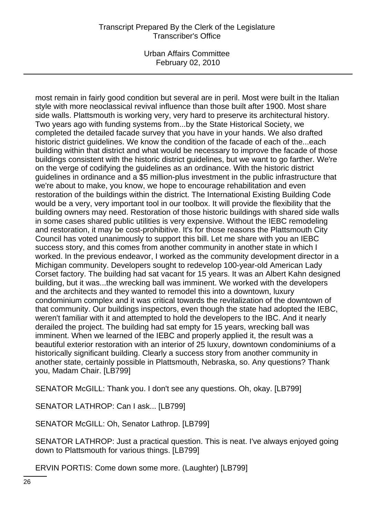Urban Affairs Committee February 02, 2010

most remain in fairly good condition but several are in peril. Most were built in the Italian style with more neoclassical revival influence than those built after 1900. Most share side walls. Plattsmouth is working very, very hard to preserve its architectural history. Two years ago with funding systems from...by the State Historical Society, we completed the detailed facade survey that you have in your hands. We also drafted historic district guidelines. We know the condition of the facade of each of the...each building within that district and what would be necessary to improve the facade of those buildings consistent with the historic district guidelines, but we want to go farther. We're on the verge of codifying the guidelines as an ordinance. With the historic district guidelines in ordinance and a \$5 million-plus investment in the public infrastructure that we're about to make, you know, we hope to encourage rehabilitation and even restoration of the buildings within the district. The International Existing Building Code would be a very, very important tool in our toolbox. It will provide the flexibility that the building owners may need. Restoration of those historic buildings with shared side walls in some cases shared public utilities is very expensive. Without the IEBC remodeling and restoration, it may be cost-prohibitive. It's for those reasons the Plattsmouth City Council has voted unanimously to support this bill. Let me share with you an IEBC success story, and this comes from another community in another state in which I worked. In the previous endeavor, I worked as the community development director in a Michigan community. Developers sought to redevelop 100-year-old American Lady Corset factory. The building had sat vacant for 15 years. It was an Albert Kahn designed building, but it was...the wrecking ball was imminent. We worked with the developers and the architects and they wanted to remodel this into a downtown, luxury condominium complex and it was critical towards the revitalization of the downtown of that community. Our buildings inspectors, even though the state had adopted the IEBC, weren't familiar with it and attempted to hold the developers to the IBC. And it nearly derailed the project. The building had sat empty for 15 years, wrecking ball was imminent. When we learned of the IEBC and properly applied it, the result was a beautiful exterior restoration with an interior of 25 luxury, downtown condominiums of a historically significant building. Clearly a success story from another community in another state, certainly possible in Plattsmouth, Nebraska, so. Any questions? Thank you, Madam Chair. [LB799]

SENATOR McGILL: Thank you. I don't see any questions. Oh, okay. [LB799]

SENATOR LATHROP: Can I ask... [LB799]

SENATOR McGILL: Oh, Senator Lathrop. [LB799]

SENATOR LATHROP: Just a practical question. This is neat. I've always enjoyed going down to Plattsmouth for various things. [LB799]

ERVIN PORTIS: Come down some more. (Laughter) [LB799]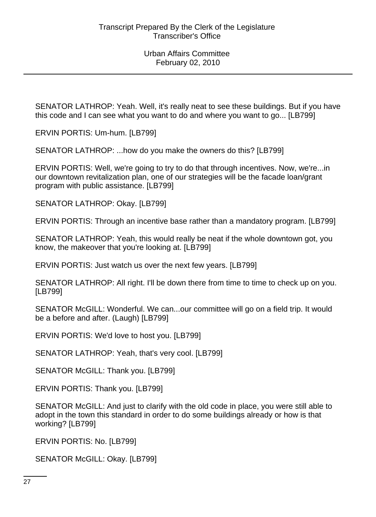SENATOR LATHROP: Yeah. Well, it's really neat to see these buildings. But if you have this code and I can see what you want to do and where you want to go... [LB799]

ERVIN PORTIS: Um-hum. [LB799]

SENATOR LATHROP: ...how do you make the owners do this? [LB799]

ERVIN PORTIS: Well, we're going to try to do that through incentives. Now, we're...in our downtown revitalization plan, one of our strategies will be the facade loan/grant program with public assistance. [LB799]

SENATOR LATHROP: Okay. [LB799]

ERVIN PORTIS: Through an incentive base rather than a mandatory program. [LB799]

SENATOR LATHROP: Yeah, this would really be neat if the whole downtown got, you know, the makeover that you're looking at. [LB799]

ERVIN PORTIS: Just watch us over the next few years. [LB799]

SENATOR LATHROP: All right. I'll be down there from time to time to check up on you. [LB799]

SENATOR McGILL: Wonderful. We can...our committee will go on a field trip. It would be a before and after. (Laugh) [LB799]

ERVIN PORTIS: We'd love to host you. [LB799]

SENATOR LATHROP: Yeah, that's very cool. [LB799]

SENATOR McGILL: Thank you. [LB799]

ERVIN PORTIS: Thank you. [LB799]

SENATOR McGILL: And just to clarify with the old code in place, you were still able to adopt in the town this standard in order to do some buildings already or how is that working? [LB799]

ERVIN PORTIS: No. [LB799]

SENATOR McGILL: Okay. [LB799]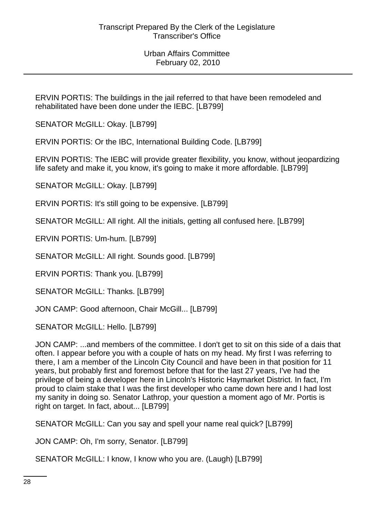ERVIN PORTIS: The buildings in the jail referred to that have been remodeled and rehabilitated have been done under the IEBC. [LB799]

SENATOR McGILL: Okay. [LB799]

ERVIN PORTIS: Or the IBC, International Building Code. [LB799]

ERVIN PORTIS: The IEBC will provide greater flexibility, you know, without jeopardizing life safety and make it, you know, it's going to make it more affordable. [LB799]

SENATOR McGILL: Okay. [LB799]

ERVIN PORTIS: It's still going to be expensive. [LB799]

SENATOR McGILL: All right. All the initials, getting all confused here. [LB799]

ERVIN PORTIS: Um-hum. [LB799]

SENATOR McGILL: All right. Sounds good. [LB799]

ERVIN PORTIS: Thank you. [LB799]

SENATOR McGILL: Thanks. [LB799]

JON CAMP: Good afternoon, Chair McGill... [LB799]

SENATOR McGILL: Hello. [LB799]

JON CAMP: ...and members of the committee. I don't get to sit on this side of a dais that often. I appear before you with a couple of hats on my head. My first I was referring to there, I am a member of the Lincoln City Council and have been in that position for 11 years, but probably first and foremost before that for the last 27 years, I've had the privilege of being a developer here in Lincoln's Historic Haymarket District. In fact, I'm proud to claim stake that I was the first developer who came down here and I had lost my sanity in doing so. Senator Lathrop, your question a moment ago of Mr. Portis is right on target. In fact, about... [LB799]

SENATOR McGILL: Can you say and spell your name real quick? [LB799]

JON CAMP: Oh, I'm sorry, Senator. [LB799]

SENATOR McGILL: I know, I know who you are. (Laugh) [LB799]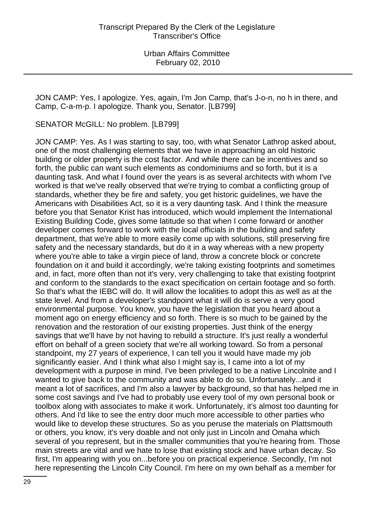JON CAMP: Yes, I apologize. Yes, again, I'm Jon Camp, that's J-o-n, no h in there, and Camp, C-a-m-p. I apologize. Thank you, Senator. [LB799]

SENATOR McGILL: No problem. [LB799]

JON CAMP: Yes. As I was starting to say, too, with what Senator Lathrop asked about, one of the most challenging elements that we have in approaching an old historic building or older property is the cost factor. And while there can be incentives and so forth, the public can want such elements as condominiums and so forth, but it is a daunting task. And what I found over the years is as several architects with whom I've worked is that we've really observed that we're trying to combat a conflicting group of standards, whether they be fire and safety, you get historic guidelines, we have the Americans with Disabilities Act, so it is a very daunting task. And I think the measure before you that Senator Krist has introduced, which would implement the International Existing Building Code, gives some latitude so that when I come forward or another developer comes forward to work with the local officials in the building and safety department, that we're able to more easily come up with solutions, still preserving fire safety and the necessary standards, but do it in a way whereas with a new property where you're able to take a virgin piece of land, throw a concrete block or concrete foundation on it and build it accordingly, we're taking existing footprints and sometimes and, in fact, more often than not it's very, very challenging to take that existing footprint and conform to the standards to the exact specification on certain footage and so forth. So that's what the IEBC will do. It will allow the localities to adopt this as well as at the state level. And from a developer's standpoint what it will do is serve a very good environmental purpose. You know, you have the legislation that you heard about a moment ago on energy efficiency and so forth. There is so much to be gained by the renovation and the restoration of our existing properties. Just think of the energy savings that we'll have by not having to rebuild a structure. It's just really a wonderful effort on behalf of a green society that we're all working toward. So from a personal standpoint, my 27 years of experience, I can tell you it would have made my job significantly easier. And I think what also I might say is, I came into a lot of my development with a purpose in mind. I've been privileged to be a native Lincolnite and I wanted to give back to the community and was able to do so. Unfortunately...and it meant a lot of sacrifices, and I'm also a lawyer by background, so that has helped me in some cost savings and I've had to probably use every tool of my own personal book or toolbox along with associates to make it work. Unfortunately, it's almost too daunting for others. And I'd like to see the entry door much more accessible to other parties who would like to develop these structures. So as you peruse the materials on Plattsmouth or others, you know, it's very doable and not only just in Lincoln and Omaha which several of you represent, but in the smaller communities that you're hearing from. Those main streets are vital and we hate to lose that existing stock and have urban decay. So first, I'm appearing with you on...before you on practical experience. Secondly, I'm not here representing the Lincoln City Council. I'm here on my own behalf as a member for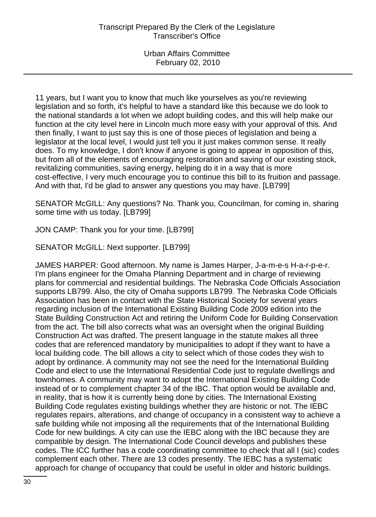11 years, but I want you to know that much like yourselves as you're reviewing legislation and so forth, it's helpful to have a standard like this because we do look to the national standards a lot when we adopt building codes, and this will help make our function at the city level here in Lincoln much more easy with your approval of this. And then finally, I want to just say this is one of those pieces of legislation and being a legislator at the local level, I would just tell you it just makes common sense. It really does. To my knowledge, I don't know if anyone is going to appear in opposition of this, but from all of the elements of encouraging restoration and saving of our existing stock, revitalizing communities, saving energy, helping do it in a way that is more cost-effective, I very much encourage you to continue this bill to its fruition and passage. And with that, I'd be glad to answer any questions you may have. [LB799]

SENATOR McGILL: Any questions? No. Thank you, Councilman, for coming in, sharing some time with us today. [LB799]

JON CAMP: Thank you for your time. [LB799]

SENATOR McGILL: Next supporter. [LB799]

JAMES HARPER: Good afternoon. My name is James Harper, J-a-m-e-s H-a-r-p-e-r. I'm plans engineer for the Omaha Planning Department and in charge of reviewing plans for commercial and residential buildings. The Nebraska Code Officials Association supports LB799. Also, the city of Omaha supports LB799. The Nebraska Code Officials Association has been in contact with the State Historical Society for several years regarding inclusion of the International Existing Building Code 2009 edition into the State Building Construction Act and retiring the Uniform Code for Building Conservation from the act. The bill also corrects what was an oversight when the original Building Construction Act was drafted. The present language in the statute makes all three codes that are referenced mandatory by municipalities to adopt if they want to have a local building code. The bill allows a city to select which of those codes they wish to adopt by ordinance. A community may not see the need for the International Building Code and elect to use the International Residential Code just to regulate dwellings and townhomes. A community may want to adopt the International Existing Building Code instead of or to complement chapter 34 of the IBC. That option would be available and, in reality, that is how it is currently being done by cities. The International Existing Building Code regulates existing buildings whether they are historic or not. The IEBC regulates repairs, alterations, and change of occupancy in a consistent way to achieve a safe building while not imposing all the requirements that of the International Building Code for new buildings. A city can use the IEBC along with the IBC because they are compatible by design. The International Code Council develops and publishes these codes. The ICC further has a code coordinating committee to check that all I (sic) codes complement each other. There are 13 codes presently. The IEBC has a systematic approach for change of occupancy that could be useful in older and historic buildings.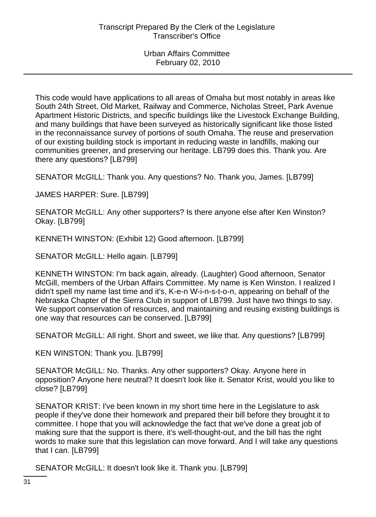This code would have applications to all areas of Omaha but most notably in areas like South 24th Street, Old Market, Railway and Commerce, Nicholas Street, Park Avenue Apartment Historic Districts, and specific buildings like the Livestock Exchange Building, and many buildings that have been surveyed as historically significant like those listed in the reconnaissance survey of portions of south Omaha. The reuse and preservation of our existing building stock is important in reducing waste in landfills, making our communities greener, and preserving our heritage. LB799 does this. Thank you. Are there any questions? [LB799]

SENATOR McGILL: Thank you. Any questions? No. Thank you, James. [LB799]

JAMES HARPER: Sure. [LB799]

SENATOR McGILL: Any other supporters? Is there anyone else after Ken Winston? Okay. [LB799]

KENNETH WINSTON: (Exhibit 12) Good afternoon. [LB799]

SENATOR McGILL: Hello again. [LB799]

KENNETH WINSTON: I'm back again, already. (Laughter) Good afternoon, Senator McGill, members of the Urban Affairs Committee. My name is Ken Winston. I realized I didn't spell my name last time and it's, K-e-n W-i-n-s-t-o-n, appearing on behalf of the Nebraska Chapter of the Sierra Club in support of LB799. Just have two things to say. We support conservation of resources, and maintaining and reusing existing buildings is one way that resources can be conserved. [LB799]

SENATOR McGILL: All right. Short and sweet, we like that. Any questions? [LB799]

KEN WINSTON: Thank you. [LB799]

SENATOR McGILL: No. Thanks. Any other supporters? Okay. Anyone here in opposition? Anyone here neutral? It doesn't look like it. Senator Krist, would you like to close? [LB799]

SENATOR KRIST: I've been known in my short time here in the Legislature to ask people if they've done their homework and prepared their bill before they brought it to committee. I hope that you will acknowledge the fact that we've done a great job of making sure that the support is there, it's well-thought-out, and the bill has the right words to make sure that this legislation can move forward. And I will take any questions that I can. [LB799]

SENATOR McGILL: It doesn't look like it. Thank you. [LB799]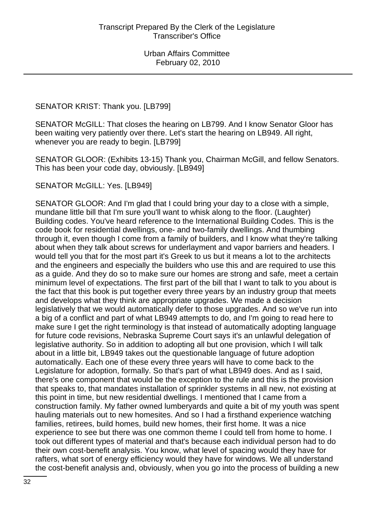### SENATOR KRIST: Thank you. [LB799]

SENATOR McGILL: That closes the hearing on LB799. And I know Senator Gloor has been waiting very patiently over there. Let's start the hearing on LB949. All right, whenever you are ready to begin. [LB799]

SENATOR GLOOR: (Exhibits 13-15) Thank you, Chairman McGill, and fellow Senators. This has been your code day, obviously. [LB949]

SENATOR McGILL: Yes. [LB949]

SENATOR GLOOR: And I'm glad that I could bring your day to a close with a simple, mundane little bill that I'm sure you'll want to whisk along to the floor. (Laughter) Building codes. You've heard reference to the International Building Codes. This is the code book for residential dwellings, one- and two-family dwellings. And thumbing through it, even though I come from a family of builders, and I know what they're talking about when they talk about screws for underlayment and vapor barriers and headers. I would tell you that for the most part it's Greek to us but it means a lot to the architects and the engineers and especially the builders who use this and are required to use this as a guide. And they do so to make sure our homes are strong and safe, meet a certain minimum level of expectations. The first part of the bill that I want to talk to you about is the fact that this book is put together every three years by an industry group that meets and develops what they think are appropriate upgrades. We made a decision legislatively that we would automatically defer to those upgrades. And so we've run into a big of a conflict and part of what LB949 attempts to do, and I'm going to read here to make sure I get the right terminology is that instead of automatically adopting language for future code revisions, Nebraska Supreme Court says it's an unlawful delegation of legislative authority. So in addition to adopting all but one provision, which I will talk about in a little bit, LB949 takes out the questionable language of future adoption automatically. Each one of these every three years will have to come back to the Legislature for adoption, formally. So that's part of what LB949 does. And as I said, there's one component that would be the exception to the rule and this is the provision that speaks to, that mandates installation of sprinkler systems in all new, not existing at this point in time, but new residential dwellings. I mentioned that I came from a construction family. My father owned lumberyards and quite a bit of my youth was spent hauling materials out to new homesites. And so I had a firsthand experience watching families, retirees, build homes, build new homes, their first home. It was a nice experience to see but there was one common theme I could tell from home to home. I took out different types of material and that's because each individual person had to do their own cost-benefit analysis. You know, what level of spacing would they have for rafters, what sort of energy efficiency would they have for windows. We all understand the cost-benefit analysis and, obviously, when you go into the process of building a new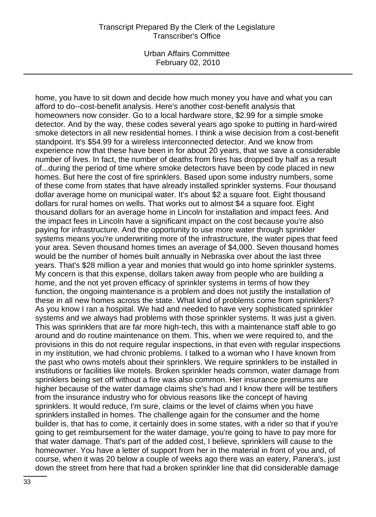Urban Affairs Committee February 02, 2010

home, you have to sit down and decide how much money you have and what you can afford to do--cost-benefit analysis. Here's another cost-benefit analysis that homeowners now consider. Go to a local hardware store, \$2.99 for a simple smoke detector. And by the way, these codes several years ago spoke to putting in hard-wired smoke detectors in all new residential homes. I think a wise decision from a cost-benefit standpoint. It's \$54.99 for a wireless interconnected detector. And we know from experience now that these have been in for about 20 years, that we save a considerable number of lives. In fact, the number of deaths from fires has dropped by half as a result of...during the period of time where smoke detectors have been by code placed in new homes. But here the cost of fire sprinklers. Based upon some industry numbers, some of these come from states that have already installed sprinkler systems. Four thousand dollar average home on municipal water. It's about \$2 a square foot. Eight thousand dollars for rural homes on wells. That works out to almost \$4 a square foot. Eight thousand dollars for an average home in Lincoln for installation and impact fees. And the impact fees in Lincoln have a significant impact on the cost because you're also paying for infrastructure. And the opportunity to use more water through sprinkler systems means you're underwriting more of the infrastructure, the water pipes that feed your area. Seven thousand homes times an average of \$4,000. Seven thousand homes would be the number of homes built annually in Nebraska over about the last three years. That's \$28 million a year and monies that would go into home sprinkler systems. My concern is that this expense, dollars taken away from people who are building a home, and the not yet proven efficacy of sprinkler systems in terms of how they function, the ongoing maintenance is a problem and does not justify the installation of these in all new homes across the state. What kind of problems come from sprinklers? As you know I ran a hospital. We had and needed to have very sophisticated sprinkler systems and we always had problems with those sprinkler systems. It was just a given. This was sprinklers that are far more high-tech, this with a maintenance staff able to go around and do routine maintenance on them. This, when we were required to, and the provisions in this do not require regular inspections, in that even with regular inspections in my institution, we had chronic problems. I talked to a woman who I have known from the past who owns motels about their sprinklers. We require sprinklers to be installed in institutions or facilities like motels. Broken sprinkler heads common, water damage from sprinklers being set off without a fire was also common. Her insurance premiums are higher because of the water damage claims she's had and I know there will be testifiers from the insurance industry who for obvious reasons like the concept of having sprinklers. It would reduce, I'm sure, claims or the level of claims when you have sprinklers installed in homes. The challenge again for the consumer and the home builder is, that has to come, it certainly does in some states, with a rider so that if you're going to get reimbursement for the water damage, you're going to have to pay more for that water damage. That's part of the added cost, I believe, sprinklers will cause to the homeowner. You have a letter of support from her in the material in front of you and, of course, when it was 20 below a couple of weeks ago there was an eatery, Panera's, just down the street from here that had a broken sprinkler line that did considerable damage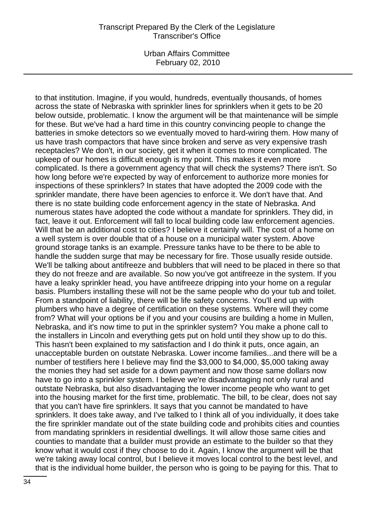Urban Affairs Committee February 02, 2010

to that institution. Imagine, if you would, hundreds, eventually thousands, of homes across the state of Nebraska with sprinkler lines for sprinklers when it gets to be 20 below outside, problematic. I know the argument will be that maintenance will be simple for these. But we've had a hard time in this country convincing people to change the batteries in smoke detectors so we eventually moved to hard-wiring them. How many of us have trash compactors that have since broken and serve as very expensive trash receptacles? We don't, in our society, get it when it comes to more complicated. The upkeep of our homes is difficult enough is my point. This makes it even more complicated. Is there a government agency that will check the systems? There isn't. So how long before we're expected by way of enforcement to authorize more monies for inspections of these sprinklers? In states that have adopted the 2009 code with the sprinkler mandate, there have been agencies to enforce it. We don't have that. And there is no state building code enforcement agency in the state of Nebraska. And numerous states have adopted the code without a mandate for sprinklers. They did, in fact, leave it out. Enforcement will fall to local building code law enforcement agencies. Will that be an additional cost to cities? I believe it certainly will. The cost of a home on a well system is over double that of a house on a municipal water system. Above ground storage tanks is an example. Pressure tanks have to be there to be able to handle the sudden surge that may be necessary for fire. Those usually reside outside. We'll be talking about antifreeze and bubblers that will need to be placed in there so that they do not freeze and are available. So now you've got antifreeze in the system. If you have a leaky sprinkler head, you have antifreeze dripping into your home on a regular basis. Plumbers installing these will not be the same people who do your tub and toilet. From a standpoint of liability, there will be life safety concerns. You'll end up with plumbers who have a degree of certification on these systems. Where will they come from? What will your options be if you and your cousins are building a home in Mullen, Nebraska, and it's now time to put in the sprinkler system? You make a phone call to the installers in Lincoln and everything gets put on hold until they show up to do this. This hasn't been explained to my satisfaction and I do think it puts, once again, an unacceptable burden on outstate Nebraska. Lower income families...and there will be a number of testifiers here I believe may find the \$3,000 to \$4,000, \$5,000 taking away the monies they had set aside for a down payment and now those same dollars now have to go into a sprinkler system. I believe we're disadvantaging not only rural and outstate Nebraska, but also disadvantaging the lower income people who want to get into the housing market for the first time, problematic. The bill, to be clear, does not say that you can't have fire sprinklers. It says that you cannot be mandated to have sprinklers. It does take away, and I've talked to I think all of you individually, it does take the fire sprinkler mandate out of the state building code and prohibits cities and counties from mandating sprinklers in residential dwellings. It will allow those same cities and counties to mandate that a builder must provide an estimate to the builder so that they know what it would cost if they choose to do it. Again, I know the argument will be that we're taking away local control, but I believe it moves local control to the best level, and that is the individual home builder, the person who is going to be paying for this. That to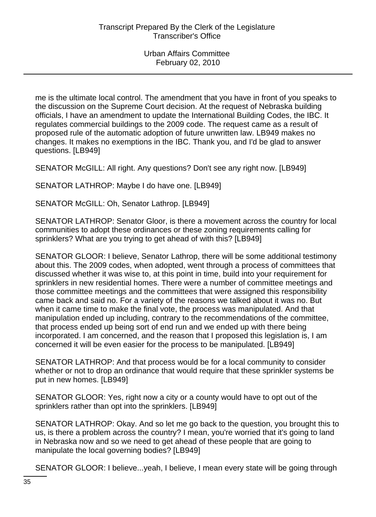me is the ultimate local control. The amendment that you have in front of you speaks to the discussion on the Supreme Court decision. At the request of Nebraska building officials, I have an amendment to update the International Building Codes, the IBC. It regulates commercial buildings to the 2009 code. The request came as a result of proposed rule of the automatic adoption of future unwritten law. LB949 makes no changes. It makes no exemptions in the IBC. Thank you, and I'd be glad to answer questions. [LB949]

SENATOR McGILL: All right. Any questions? Don't see any right now. [LB949]

SENATOR LATHROP: Maybe I do have one. [LB949]

SENATOR McGILL: Oh, Senator Lathrop. [LB949]

SENATOR LATHROP: Senator Gloor, is there a movement across the country for local communities to adopt these ordinances or these zoning requirements calling for sprinklers? What are you trying to get ahead of with this? [LB949]

SENATOR GLOOR: I believe, Senator Lathrop, there will be some additional testimony about this. The 2009 codes, when adopted, went through a process of committees that discussed whether it was wise to, at this point in time, build into your requirement for sprinklers in new residential homes. There were a number of committee meetings and those committee meetings and the committees that were assigned this responsibility came back and said no. For a variety of the reasons we talked about it was no. But when it came time to make the final vote, the process was manipulated. And that manipulation ended up including, contrary to the recommendations of the committee, that process ended up being sort of end run and we ended up with there being incorporated. I am concerned, and the reason that I proposed this legislation is, I am concerned it will be even easier for the process to be manipulated. [LB949]

SENATOR LATHROP: And that process would be for a local community to consider whether or not to drop an ordinance that would require that these sprinkler systems be put in new homes. [LB949]

SENATOR GLOOR: Yes, right now a city or a county would have to opt out of the sprinklers rather than opt into the sprinklers. [LB949]

SENATOR LATHROP: Okay. And so let me go back to the question, you brought this to us, is there a problem across the country? I mean, you're worried that it's going to land in Nebraska now and so we need to get ahead of these people that are going to manipulate the local governing bodies? [LB949]

SENATOR GLOOR: I believe...yeah, I believe, I mean every state will be going through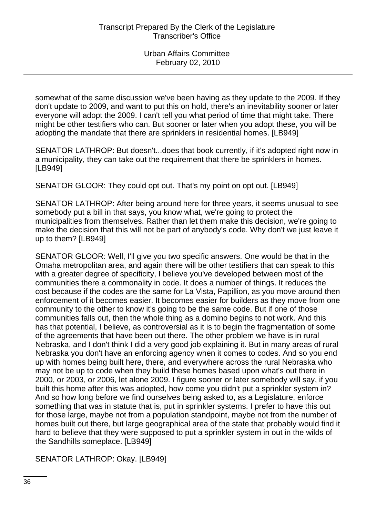somewhat of the same discussion we've been having as they update to the 2009. If they don't update to 2009, and want to put this on hold, there's an inevitability sooner or later everyone will adopt the 2009. I can't tell you what period of time that might take. There might be other testifiers who can. But sooner or later when you adopt these, you will be adopting the mandate that there are sprinklers in residential homes. [LB949]

SENATOR LATHROP: But doesn't...does that book currently, if it's adopted right now in a municipality, they can take out the requirement that there be sprinklers in homes. [LB949]

SENATOR GLOOR: They could opt out. That's my point on opt out. [LB949]

SENATOR LATHROP: After being around here for three years, it seems unusual to see somebody put a bill in that says, you know what, we're going to protect the municipalities from themselves. Rather than let them make this decision, we're going to make the decision that this will not be part of anybody's code. Why don't we just leave it up to them? [LB949]

SENATOR GLOOR: Well, I'll give you two specific answers. One would be that in the Omaha metropolitan area, and again there will be other testifiers that can speak to this with a greater degree of specificity, I believe you've developed between most of the communities there a commonality in code. It does a number of things. It reduces the cost because if the codes are the same for La Vista, Papillion, as you move around then enforcement of it becomes easier. It becomes easier for builders as they move from one community to the other to know it's going to be the same code. But if one of those communities falls out, then the whole thing as a domino begins to not work. And this has that potential, I believe, as controversial as it is to begin the fragmentation of some of the agreements that have been out there. The other problem we have is in rural Nebraska, and I don't think I did a very good job explaining it. But in many areas of rural Nebraska you don't have an enforcing agency when it comes to codes. And so you end up with homes being built here, there, and everywhere across the rural Nebraska who may not be up to code when they build these homes based upon what's out there in 2000, or 2003, or 2006, let alone 2009. I figure sooner or later somebody will say, if you built this home after this was adopted, how come you didn't put a sprinkler system in? And so how long before we find ourselves being asked to, as a Legislature, enforce something that was in statute that is, put in sprinkler systems. I prefer to have this out for those large, maybe not from a population standpoint, maybe not from the number of homes built out there, but large geographical area of the state that probably would find it hard to believe that they were supposed to put a sprinkler system in out in the wilds of the Sandhills someplace. [LB949]

SENATOR LATHROP: Okay. [LB949]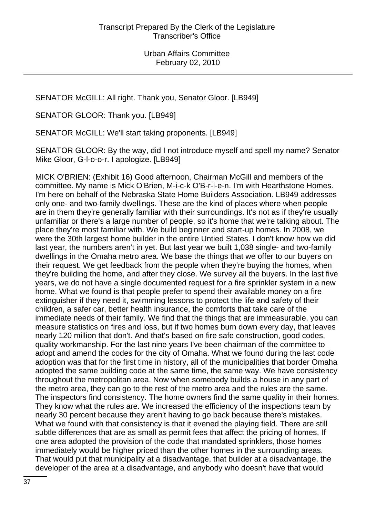SENATOR McGILL: All right. Thank you, Senator Gloor. [LB949]

SENATOR GLOOR: Thank you. [LB949]

SENATOR McGILL: We'll start taking proponents. [LB949]

SENATOR GLOOR: By the way, did I not introduce myself and spell my name? Senator Mike Gloor, G-l-o-o-r. I apologize. [LB949]

MICK O'BRIEN: (Exhibit 16) Good afternoon, Chairman McGill and members of the committee. My name is Mick O'Brien, M-i-c-k O'B-r-i-e-n. I'm with Hearthstone Homes. I'm here on behalf of the Nebraska State Home Builders Association. LB949 addresses only one- and two-family dwellings. These are the kind of places where when people are in them they're generally familiar with their surroundings. It's not as if they're usually unfamiliar or there's a large number of people, so it's home that we're talking about. The place they're most familiar with. We build beginner and start-up homes. In 2008, we were the 30th largest home builder in the entire Untied States. I don't know how we did last year, the numbers aren't in yet. But last year we built 1,038 single- and two-family dwellings in the Omaha metro area. We base the things that we offer to our buyers on their request. We get feedback from the people when they're buying the homes, when they're building the home, and after they close. We survey all the buyers. In the last five years, we do not have a single documented request for a fire sprinkler system in a new home. What we found is that people prefer to spend their available money on a fire extinguisher if they need it, swimming lessons to protect the life and safety of their children, a safer car, better health insurance, the comforts that take care of the immediate needs of their family. We find that the things that are immeasurable, you can measure statistics on fires and loss, but if two homes burn down every day, that leaves nearly 120 million that don't. And that's based on fire safe construction, good codes, quality workmanship. For the last nine years I've been chairman of the committee to adopt and amend the codes for the city of Omaha. What we found during the last code adoption was that for the first time in history, all of the municipalities that border Omaha adopted the same building code at the same time, the same way. We have consistency throughout the metropolitan area. Now when somebody builds a house in any part of the metro area, they can go to the rest of the metro area and the rules are the same. The inspectors find consistency. The home owners find the same quality in their homes. They know what the rules are. We increased the efficiency of the inspections team by nearly 30 percent because they aren't having to go back because there's mistakes. What we found with that consistency is that it evened the playing field. There are still subtle differences that are as small as permit fees that affect the pricing of homes. If one area adopted the provision of the code that mandated sprinklers, those homes immediately would be higher priced than the other homes in the surrounding areas. That would put that municipality at a disadvantage, that builder at a disadvantage, the developer of the area at a disadvantage, and anybody who doesn't have that would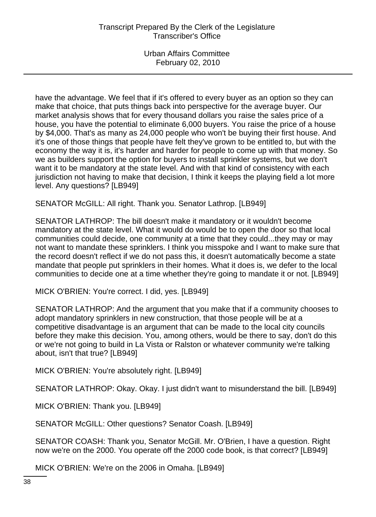have the advantage. We feel that if it's offered to every buyer as an option so they can make that choice, that puts things back into perspective for the average buyer. Our market analysis shows that for every thousand dollars you raise the sales price of a house, you have the potential to eliminate 6,000 buyers. You raise the price of a house by \$4,000. That's as many as 24,000 people who won't be buying their first house. And it's one of those things that people have felt they've grown to be entitled to, but with the economy the way it is, it's harder and harder for people to come up with that money. So we as builders support the option for buyers to install sprinkler systems, but we don't want it to be mandatory at the state level. And with that kind of consistency with each jurisdiction not having to make that decision, I think it keeps the playing field a lot more level. Any questions? [LB949]

SENATOR McGILL: All right. Thank you. Senator Lathrop. [LB949]

SENATOR LATHROP: The bill doesn't make it mandatory or it wouldn't become mandatory at the state level. What it would do would be to open the door so that local communities could decide, one community at a time that they could...they may or may not want to mandate these sprinklers. I think you misspoke and I want to make sure that the record doesn't reflect if we do not pass this, it doesn't automatically become a state mandate that people put sprinklers in their homes. What it does is, we defer to the local communities to decide one at a time whether they're going to mandate it or not. [LB949]

MICK O'BRIEN: You're correct. I did, yes. [LB949]

SENATOR LATHROP: And the argument that you make that if a community chooses to adopt mandatory sprinklers in new construction, that those people will be at a competitive disadvantage is an argument that can be made to the local city councils before they make this decision. You, among others, would be there to say, don't do this or we're not going to build in La Vista or Ralston or whatever community we're talking about, isn't that true? [LB949]

MICK O'BRIEN: You're absolutely right. [LB949]

SENATOR LATHROP: Okay. Okay. I just didn't want to misunderstand the bill. [LB949]

MICK O'BRIEN: Thank you. [LB949]

SENATOR McGILL: Other questions? Senator Coash. [LB949]

SENATOR COASH: Thank you, Senator McGill. Mr. O'Brien, I have a question. Right now we're on the 2000. You operate off the 2000 code book, is that correct? [LB949]

MICK O'BRIEN: We're on the 2006 in Omaha. [LB949]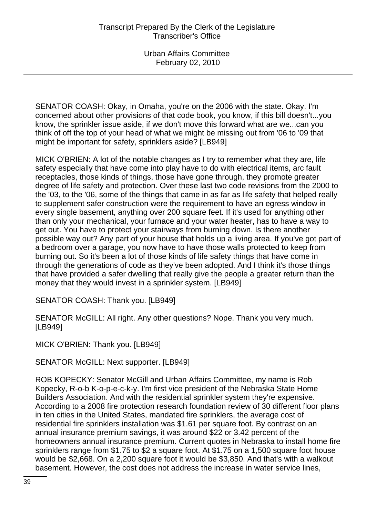SENATOR COASH: Okay, in Omaha, you're on the 2006 with the state. Okay. I'm concerned about other provisions of that code book, you know, if this bill doesn't...you know, the sprinkler issue aside, if we don't move this forward what are we...can you think of off the top of your head of what we might be missing out from '06 to '09 that might be important for safety, sprinklers aside? [LB949]

MICK O'BRIEN: A lot of the notable changes as I try to remember what they are, life safety especially that have come into play have to do with electrical items, arc fault receptacles, those kinds of things, those have gone through, they promote greater degree of life safety and protection. Over these last two code revisions from the 2000 to the '03, to the '06, some of the things that came in as far as life safety that helped really to supplement safer construction were the requirement to have an egress window in every single basement, anything over 200 square feet. If it's used for anything other than only your mechanical, your furnace and your water heater, has to have a way to get out. You have to protect your stairways from burning down. Is there another possible way out? Any part of your house that holds up a living area. If you've got part of a bedroom over a garage, you now have to have those walls protected to keep from burning out. So it's been a lot of those kinds of life safety things that have come in through the generations of code as they've been adopted. And I think it's those things that have provided a safer dwelling that really give the people a greater return than the money that they would invest in a sprinkler system. [LB949]

SENATOR COASH: Thank you. [LB949]

SENATOR McGILL: All right. Any other questions? Nope. Thank you very much. [LB949]

MICK O'BRIEN: Thank you. [LB949]

SENATOR McGILL: Next supporter. [LB949]

ROB KOPECKY: Senator McGill and Urban Affairs Committee, my name is Rob Kopecky, R-o-b K-o-p-e-c-k-y. I'm first vice president of the Nebraska State Home Builders Association. And with the residential sprinkler system they're expensive. According to a 2008 fire protection research foundation review of 30 different floor plans in ten cities in the United States, mandated fire sprinklers, the average cost of residential fire sprinklers installation was \$1.61 per square foot. By contrast on an annual insurance premium savings, it was around \$22 or 3.42 percent of the homeowners annual insurance premium. Current quotes in Nebraska to install home fire sprinklers range from \$1.75 to \$2 a square foot. At \$1.75 on a 1,500 square foot house would be \$2,668. On a 2,200 square foot it would be \$3,850. And that's with a walkout basement. However, the cost does not address the increase in water service lines,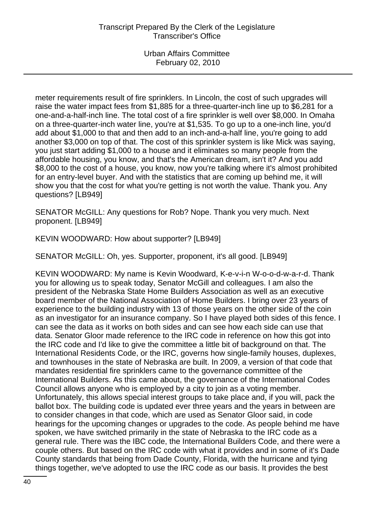meter requirements result of fire sprinklers. In Lincoln, the cost of such upgrades will raise the water impact fees from \$1,885 for a three-quarter-inch line up to \$6,281 for a one-and-a-half-inch line. The total cost of a fire sprinkler is well over \$8,000. In Omaha on a three-quarter-inch water line, you're at \$1,535. To go up to a one-inch line, you'd add about \$1,000 to that and then add to an inch-and-a-half line, you're going to add another \$3,000 on top of that. The cost of this sprinkler system is like Mick was saying, you just start adding \$1,000 to a house and it eliminates so many people from the affordable housing, you know, and that's the American dream, isn't it? And you add \$8,000 to the cost of a house, you know, now you're talking where it's almost prohibited for an entry-level buyer. And with the statistics that are coming up behind me, it will show you that the cost for what you're getting is not worth the value. Thank you. Any questions? [LB949]

SENATOR McGILL: Any questions for Rob? Nope. Thank you very much. Next proponent. [LB949]

KEVIN WOODWARD: How about supporter? [LB949]

SENATOR McGILL: Oh, yes. Supporter, proponent, it's all good. [LB949]

KEVIN WOODWARD: My name is Kevin Woodward, K-e-v-i-n W-o-o-d-w-a-r-d. Thank you for allowing us to speak today, Senator McGill and colleagues. I am also the president of the Nebraska State Home Builders Association as well as an executive board member of the National Association of Home Builders. I bring over 23 years of experience to the building industry with 13 of those years on the other side of the coin as an investigator for an insurance company. So I have played both sides of this fence. I can see the data as it works on both sides and can see how each side can use that data. Senator Gloor made reference to the IRC code in reference on how this got into the IRC code and I'd like to give the committee a little bit of background on that. The International Residents Code, or the IRC, governs how single-family houses, duplexes, and townhouses in the state of Nebraska are built. In 2009, a version of that code that mandates residential fire sprinklers came to the governance committee of the International Builders. As this came about, the governance of the International Codes Council allows anyone who is employed by a city to join as a voting member. Unfortunately, this allows special interest groups to take place and, if you will, pack the ballot box. The building code is updated ever three years and the years in between are to consider changes in that code, which are used as Senator Gloor said, in code hearings for the upcoming changes or upgrades to the code. As people behind me have spoken, we have switched primarily in the state of Nebraska to the IRC code as a general rule. There was the IBC code, the International Builders Code, and there were a couple others. But based on the IRC code with what it provides and in some of it's Dade County standards that being from Dade County, Florida, with the hurricane and tying things together, we've adopted to use the IRC code as our basis. It provides the best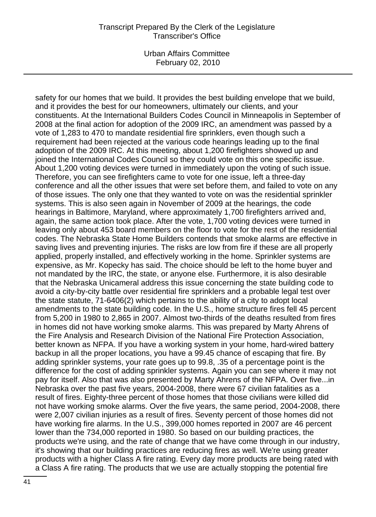Urban Affairs Committee February 02, 2010

safety for our homes that we build. It provides the best building envelope that we build, and it provides the best for our homeowners, ultimately our clients, and your constituents. At the International Builders Codes Council in Minneapolis in September of 2008 at the final action for adoption of the 2009 IRC, an amendment was passed by a vote of 1,283 to 470 to mandate residential fire sprinklers, even though such a requirement had been rejected at the various code hearings leading up to the final adoption of the 2009 IRC. At this meeting, about 1,200 firefighters showed up and joined the International Codes Council so they could vote on this one specific issue. About 1,200 voting devices were turned in immediately upon the voting of such issue. Therefore, you can see firefighters came to vote for one issue, left a three-day conference and all the other issues that were set before them, and failed to vote on any of those issues. The only one that they wanted to vote on was the residential sprinkler systems. This is also seen again in November of 2009 at the hearings, the code hearings in Baltimore, Maryland, where approximately 1,700 firefighters arrived and, again, the same action took place. After the vote, 1,700 voting devices were turned in leaving only about 453 board members on the floor to vote for the rest of the residential codes. The Nebraska State Home Builders contends that smoke alarms are effective in saving lives and preventing injuries. The risks are low from fire if these are all properly applied, properly installed, and effectively working in the home. Sprinkler systems are expensive, as Mr. Kopecky has said. The choice should be left to the home buyer and not mandated by the IRC, the state, or anyone else. Furthermore, it is also desirable that the Nebraska Unicameral address this issue concerning the state building code to avoid a city-by-city battle over residential fire sprinklers and a probable legal test over the state statute, 71-6406(2) which pertains to the ability of a city to adopt local amendments to the state building code. In the U.S., home structure fires fell 45 percent from 5,200 in 1980 to 2,865 in 2007. Almost two-thirds of the deaths resulted from fires in homes did not have working smoke alarms. This was prepared by Marty Ahrens of the Fire Analysis and Research Division of the National Fire Protection Association, better known as NFPA. If you have a working system in your home, hard-wired battery backup in all the proper locations, you have a 99.45 chance of escaping that fire. By adding sprinkler systems, your rate goes up to 99.8, .35 of a percentage point is the difference for the cost of adding sprinkler systems. Again you can see where it may not pay for itself. Also that was also presented by Marty Ahrens of the NFPA. Over five...in Nebraska over the past five years, 2004-2008, there were 67 civilian fatalities as a result of fires. Eighty-three percent of those homes that those civilians were killed did not have working smoke alarms. Over the five years, the same period, 2004-2008, there were 2,007 civilian injuries as a result of fires. Seventy percent of those homes did not have working fire alarms. In the U.S., 399,000 homes reported in 2007 are 46 percent lower than the 734,000 reported in 1980. So based on our building practices, the products we're using, and the rate of change that we have come through in our industry, it's showing that our building practices are reducing fires as well. We're using greater products with a higher Class A fire rating. Every day more products are being rated with a Class A fire rating. The products that we use are actually stopping the potential fire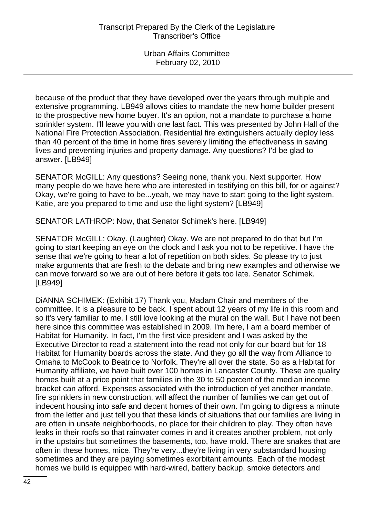because of the product that they have developed over the years through multiple and extensive programming. LB949 allows cities to mandate the new home builder present to the prospective new home buyer. It's an option, not a mandate to purchase a home sprinkler system. I'll leave you with one last fact. This was presented by John Hall of the National Fire Protection Association. Residential fire extinguishers actually deploy less than 40 percent of the time in home fires severely limiting the effectiveness in saving lives and preventing injuries and property damage. Any questions? I'd be glad to answer. [LB949]

SENATOR McGILL: Any questions? Seeing none, thank you. Next supporter. How many people do we have here who are interested in testifying on this bill, for or against? Okay, we're going to have to be...yeah, we may have to start going to the light system. Katie, are you prepared to time and use the light system? [LB949]

SENATOR LATHROP: Now, that Senator Schimek's here. [LB949]

SENATOR McGILL: Okay. (Laughter) Okay. We are not prepared to do that but I'm going to start keeping an eye on the clock and I ask you not to be repetitive. I have the sense that we're going to hear a lot of repetition on both sides. So please try to just make arguments that are fresh to the debate and bring new examples and otherwise we can move forward so we are out of here before it gets too late. Senator Schimek. [LB949]

DiANNA SCHIMEK: (Exhibit 17) Thank you, Madam Chair and members of the committee. It is a pleasure to be back. I spent about 12 years of my life in this room and so it's very familiar to me. I still love looking at the mural on the wall. But I have not been here since this committee was established in 2009. I'm here, I am a board member of Habitat for Humanity. In fact, I'm the first vice president and I was asked by the Executive Director to read a statement into the read not only for our board but for 18 Habitat for Humanity boards across the state. And they go all the way from Alliance to Omaha to McCook to Beatrice to Norfolk. They're all over the state. So as a Habitat for Humanity affiliate, we have built over 100 homes in Lancaster County. These are quality homes built at a price point that families in the 30 to 50 percent of the median income bracket can afford. Expenses associated with the introduction of yet another mandate, fire sprinklers in new construction, will affect the number of families we can get out of indecent housing into safe and decent homes of their own. I'm going to digress a minute from the letter and just tell you that these kinds of situations that our families are living in are often in unsafe neighborhoods, no place for their children to play. They often have leaks in their roofs so that rainwater comes in and it creates another problem, not only in the upstairs but sometimes the basements, too, have mold. There are snakes that are often in these homes, mice. They're very...they're living in very substandard housing sometimes and they are paying sometimes exorbitant amounts. Each of the modest homes we build is equipped with hard-wired, battery backup, smoke detectors and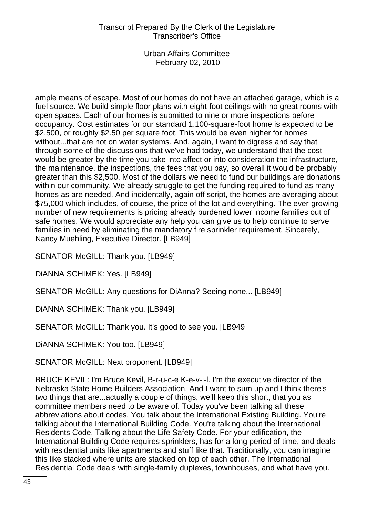Urban Affairs Committee February 02, 2010

ample means of escape. Most of our homes do not have an attached garage, which is a fuel source. We build simple floor plans with eight-foot ceilings with no great rooms with open spaces. Each of our homes is submitted to nine or more inspections before occupancy. Cost estimates for our standard 1,100-square-foot home is expected to be \$2,500, or roughly \$2.50 per square foot. This would be even higher for homes without...that are not on water systems. And, again, I want to digress and say that through some of the discussions that we've had today, we understand that the cost would be greater by the time you take into affect or into consideration the infrastructure, the maintenance, the inspections, the fees that you pay, so overall it would be probably greater than this \$2,500. Most of the dollars we need to fund our buildings are donations within our community. We already struggle to get the funding required to fund as many homes as are needed. And incidentally, again off script, the homes are averaging about \$75,000 which includes, of course, the price of the lot and everything. The ever-growing number of new requirements is pricing already burdened lower income families out of safe homes. We would appreciate any help you can give us to help continue to serve families in need by eliminating the mandatory fire sprinkler requirement. Sincerely, Nancy Muehling, Executive Director. [LB949]

SENATOR McGILL: Thank you. [LB949]

DiANNA SCHIMEK: Yes. [LB949]

SENATOR McGILL: Any questions for DiAnna? Seeing none... [LB949]

DiANNA SCHIMEK: Thank you. [LB949]

SENATOR McGILL: Thank you. It's good to see you. [LB949]

DiANNA SCHIMEK: You too. [LB949]

SENATOR McGILL: Next proponent. [LB949]

BRUCE KEVIL: I'm Bruce Kevil, B-r-u-c-e K-e-v-i-l. I'm the executive director of the Nebraska State Home Builders Association. And I want to sum up and I think there's two things that are...actually a couple of things, we'll keep this short, that you as committee members need to be aware of. Today you've been talking all these abbreviations about codes. You talk about the International Existing Building. You're talking about the International Building Code. You're talking about the International Residents Code. Talking about the Life Safety Code. For your edification, the International Building Code requires sprinklers, has for a long period of time, and deals with residential units like apartments and stuff like that. Traditionally, you can imagine this like stacked where units are stacked on top of each other. The International Residential Code deals with single-family duplexes, townhouses, and what have you.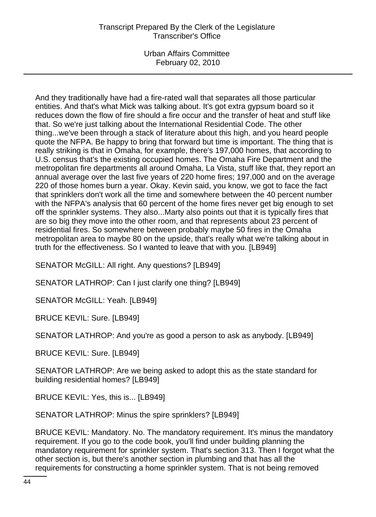Urban Affairs Committee February 02, 2010

And they traditionally have had a fire-rated wall that separates all those particular entities. And that's what Mick was talking about. It's got extra gypsum board so it reduces down the flow of fire should a fire occur and the transfer of heat and stuff like that. So we're just talking about the International Residential Code. The other thing...we've been through a stack of literature about this high, and you heard people quote the NFPA. Be happy to bring that forward but time is important. The thing that is really striking is that in Omaha, for example, there's 197,000 homes, that according to U.S. census that's the existing occupied homes. The Omaha Fire Department and the metropolitan fire departments all around Omaha, La Vista, stuff like that, they report an annual average over the last five years of 220 home fires; 197,000 and on the average 220 of those homes burn a year. Okay. Kevin said, you know, we got to face the fact that sprinklers don't work all the time and somewhere between the 40 percent number with the NFPA's analysis that 60 percent of the home fires never get big enough to set off the sprinkler systems. They also...Marty also points out that it is typically fires that are so big they move into the other room, and that represents about 23 percent of residential fires. So somewhere between probably maybe 50 fires in the Omaha metropolitan area to maybe 80 on the upside, that's really what we're talking about in truth for the effectiveness. So I wanted to leave that with you. [LB949]

SENATOR McGILL: All right. Any questions? [LB949]

SENATOR LATHROP: Can I just clarify one thing? [LB949]

SENATOR McGILL: Yeah. [LB949]

BRUCE KEVIL: Sure. [LB949]

SENATOR LATHROP: And you're as good a person to ask as anybody. [LB949]

BRUCE KEVIL: Sure. [LB949]

SENATOR LATHROP: Are we being asked to adopt this as the state standard for building residential homes? [LB949]

BRUCE KEVIL: Yes, this is... [LB949]

SENATOR LATHROP: Minus the spire sprinklers? [LB949]

BRUCE KEVIL: Mandatory. No. The mandatory requirement. It's minus the mandatory requirement. If you go to the code book, you'll find under building planning the mandatory requirement for sprinkler system. That's section 313. Then I forgot what the other section is, but there's another section in plumbing and that has all the requirements for constructing a home sprinkler system. That is not being removed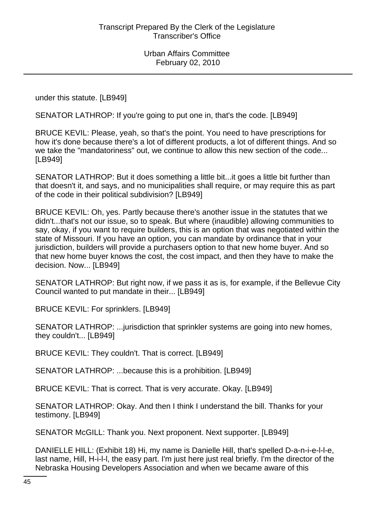under this statute. [LB949]

SENATOR LATHROP: If you're going to put one in, that's the code. [LB949]

BRUCE KEVIL: Please, yeah, so that's the point. You need to have prescriptions for how it's done because there's a lot of different products, a lot of different things. And so we take the "mandatoriness" out, we continue to allow this new section of the code... [LB949]

SENATOR LATHROP: But it does something a little bit...it goes a little bit further than that doesn't it, and says, and no municipalities shall require, or may require this as part of the code in their political subdivision? [LB949]

BRUCE KEVIL: Oh, yes. Partly because there's another issue in the statutes that we didn't...that's not our issue, so to speak. But where (inaudible) allowing communities to say, okay, if you want to require builders, this is an option that was negotiated within the state of Missouri. If you have an option, you can mandate by ordinance that in your jurisdiction, builders will provide a purchasers option to that new home buyer. And so that new home buyer knows the cost, the cost impact, and then they have to make the decision. Now... [LB949]

SENATOR LATHROP: But right now, if we pass it as is, for example, if the Bellevue City Council wanted to put mandate in their... [LB949]

BRUCE KEVIL: For sprinklers. [LB949]

SENATOR LATHROP: ...jurisdiction that sprinkler systems are going into new homes, they couldn't... [LB949]

BRUCE KEVIL: They couldn't. That is correct. [LB949]

SENATOR LATHROP: ...because this is a prohibition. [LB949]

BRUCE KEVIL: That is correct. That is very accurate. Okay. [LB949]

SENATOR LATHROP: Okay. And then I think I understand the bill. Thanks for your testimony. [LB949]

SENATOR McGILL: Thank you. Next proponent. Next supporter. [LB949]

DANIELLE HILL: (Exhibit 18) Hi, my name is Danielle Hill, that's spelled D-a-n-i-e-l-l-e, last name, Hill, H-i-l-l, the easy part. I'm just here just real briefly. I'm the director of the Nebraska Housing Developers Association and when we became aware of this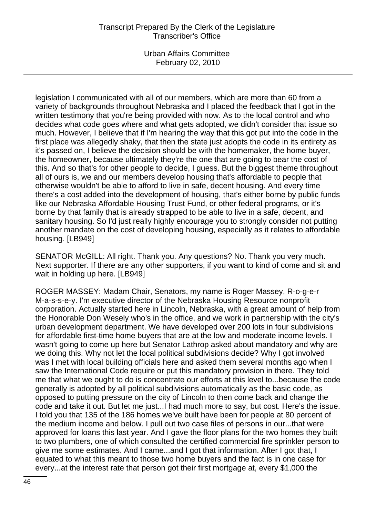Urban Affairs Committee February 02, 2010

legislation I communicated with all of our members, which are more than 60 from a variety of backgrounds throughout Nebraska and I placed the feedback that I got in the written testimony that you're being provided with now. As to the local control and who decides what code goes where and what gets adopted, we didn't consider that issue so much. However, I believe that if I'm hearing the way that this got put into the code in the first place was allegedly shaky, that then the state just adopts the code in its entirety as it's passed on, I believe the decision should be with the homemaker, the home buyer, the homeowner, because ultimately they're the one that are going to bear the cost of this. And so that's for other people to decide, I guess. But the biggest theme throughout all of ours is, we and our members develop housing that's affordable to people that otherwise wouldn't be able to afford to live in safe, decent housing. And every time there's a cost added into the development of housing, that's either borne by public funds like our Nebraska Affordable Housing Trust Fund, or other federal programs, or it's borne by that family that is already strapped to be able to live in a safe, decent, and sanitary housing. So I'd just really highly encourage you to strongly consider not putting another mandate on the cost of developing housing, especially as it relates to affordable housing. [LB949]

SENATOR McGILL: All right. Thank you. Any questions? No. Thank you very much. Next supporter. If there are any other supporters, if you want to kind of come and sit and wait in holding up here. [LB949]

ROGER MASSEY: Madam Chair, Senators, my name is Roger Massey, R-o-g-e-r M-a-s-s-e-y. I'm executive director of the Nebraska Housing Resource nonprofit corporation. Actually started here in Lincoln, Nebraska, with a great amount of help from the Honorable Don Wesely who's in the office, and we work in partnership with the city's urban development department. We have developed over 200 lots in four subdivisions for affordable first-time home buyers that are at the low and moderate income levels. I wasn't going to come up here but Senator Lathrop asked about mandatory and why are we doing this. Why not let the local political subdivisions decide? Why I got involved was I met with local building officials here and asked them several months ago when I saw the International Code require or put this mandatory provision in there. They told me that what we ought to do is concentrate our efforts at this level to...because the code generally is adopted by all political subdivisions automatically as the basic code, as opposed to putting pressure on the city of Lincoln to then come back and change the code and take it out. But let me just...I had much more to say, but cost. Here's the issue. I told you that 135 of the 186 homes we've built have been for people at 80 percent of the medium income and below. I pull out two case files of persons in our...that were approved for loans this last year. And I gave the floor plans for the two homes they built to two plumbers, one of which consulted the certified commercial fire sprinkler person to give me some estimates. And I came...and I got that information. After I got that, I equated to what this meant to those two home buyers and the fact is in one case for every...at the interest rate that person got their first mortgage at, every \$1,000 the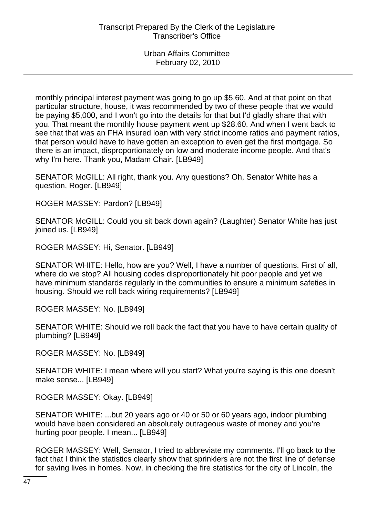monthly principal interest payment was going to go up \$5.60. And at that point on that particular structure, house, it was recommended by two of these people that we would be paying \$5,000, and I won't go into the details for that but I'd gladly share that with you. That meant the monthly house payment went up \$28.60. And when I went back to see that that was an FHA insured loan with very strict income ratios and payment ratios, that person would have to have gotten an exception to even get the first mortgage. So there is an impact, disproportionately on low and moderate income people. And that's why I'm here. Thank you, Madam Chair. [LB949]

SENATOR McGILL: All right, thank you. Any questions? Oh, Senator White has a question, Roger. [LB949]

ROGER MASSEY: Pardon? [LB949]

SENATOR McGILL: Could you sit back down again? (Laughter) Senator White has just joined us. [LB949]

ROGER MASSEY: Hi, Senator. [LB949]

SENATOR WHITE: Hello, how are you? Well, I have a number of questions. First of all, where do we stop? All housing codes disproportionately hit poor people and yet we have minimum standards regularly in the communities to ensure a minimum safeties in housing. Should we roll back wiring requirements? [LB949]

ROGER MASSEY: No. [LB949]

SENATOR WHITE: Should we roll back the fact that you have to have certain quality of plumbing? [LB949]

ROGER MASSEY: No. [LB949]

SENATOR WHITE: I mean where will you start? What you're saying is this one doesn't make sense... [LB949]

ROGER MASSEY: Okay. [LB949]

SENATOR WHITE: ...but 20 years ago or 40 or 50 or 60 years ago, indoor plumbing would have been considered an absolutely outrageous waste of money and you're hurting poor people. I mean... [LB949]

ROGER MASSEY: Well, Senator, I tried to abbreviate my comments. I'll go back to the fact that I think the statistics clearly show that sprinklers are not the first line of defense for saving lives in homes. Now, in checking the fire statistics for the city of Lincoln, the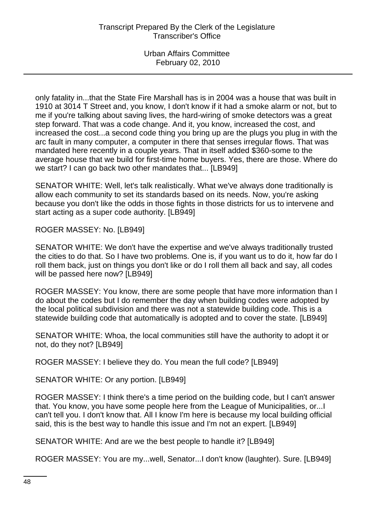only fatality in...that the State Fire Marshall has is in 2004 was a house that was built in 1910 at 3014 T Street and, you know, I don't know if it had a smoke alarm or not, but to me if you're talking about saving lives, the hard-wiring of smoke detectors was a great step forward. That was a code change. And it, you know, increased the cost, and increased the cost...a second code thing you bring up are the plugs you plug in with the arc fault in many computer, a computer in there that senses irregular flows. That was mandated here recently in a couple years. That in itself added \$360-some to the average house that we build for first-time home buyers. Yes, there are those. Where do we start? I can go back two other mandates that... [LB949]

SENATOR WHITE: Well, let's talk realistically. What we've always done traditionally is allow each community to set its standards based on its needs. Now, you're asking because you don't like the odds in those fights in those districts for us to intervene and start acting as a super code authority. [LB949]

ROGER MASSEY: No. [LB949]

SENATOR WHITE: We don't have the expertise and we've always traditionally trusted the cities to do that. So I have two problems. One is, if you want us to do it, how far do I roll them back, just on things you don't like or do I roll them all back and say, all codes will be passed here now? [LB949]

ROGER MASSEY: You know, there are some people that have more information than I do about the codes but I do remember the day when building codes were adopted by the local political subdivision and there was not a statewide building code. This is a statewide building code that automatically is adopted and to cover the state. [LB949]

SENATOR WHITE: Whoa, the local communities still have the authority to adopt it or not, do they not? [LB949]

ROGER MASSEY: I believe they do. You mean the full code? [LB949]

SENATOR WHITE: Or any portion. [LB949]

ROGER MASSEY: I think there's a time period on the building code, but I can't answer that. You know, you have some people here from the League of Municipalities, or...I can't tell you. I don't know that. All I know I'm here is because my local building official said, this is the best way to handle this issue and I'm not an expert. [LB949]

SENATOR WHITE: And are we the best people to handle it? [LB949]

ROGER MASSEY: You are my...well, Senator...I don't know (laughter). Sure. [LB949]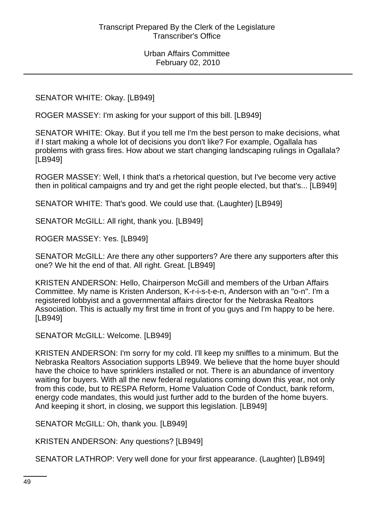SENATOR WHITE: Okay. [LB949]

ROGER MASSEY: I'm asking for your support of this bill. [LB949]

SENATOR WHITE: Okay. But if you tell me I'm the best person to make decisions, what if I start making a whole lot of decisions you don't like? For example, Ogallala has problems with grass fires. How about we start changing landscaping rulings in Ogallala? [LB949]

ROGER MASSEY: Well, I think that's a rhetorical question, but I've become very active then in political campaigns and try and get the right people elected, but that's... [LB949]

SENATOR WHITE: That's good. We could use that. (Laughter) [LB949]

SENATOR McGILL: All right, thank you. [LB949]

ROGER MASSEY: Yes. [LB949]

SENATOR McGILL: Are there any other supporters? Are there any supporters after this one? We hit the end of that. All right. Great. [LB949]

KRISTEN ANDERSON: Hello, Chairperson McGill and members of the Urban Affairs Committee. My name is Kristen Anderson, K-r-i-s-t-e-n, Anderson with an "o-n". I'm a registered lobbyist and a governmental affairs director for the Nebraska Realtors Association. This is actually my first time in front of you guys and I'm happy to be here. [LB949]

SENATOR McGILL: Welcome. [LB949]

KRISTEN ANDERSON: I'm sorry for my cold. I'll keep my sniffles to a minimum. But the Nebraska Realtors Association supports LB949. We believe that the home buyer should have the choice to have sprinklers installed or not. There is an abundance of inventory waiting for buyers. With all the new federal regulations coming down this year, not only from this code, but to RESPA Reform, Home Valuation Code of Conduct, bank reform, energy code mandates, this would just further add to the burden of the home buyers. And keeping it short, in closing, we support this legislation. [LB949]

SENATOR McGILL: Oh, thank you. [LB949]

KRISTEN ANDERSON: Any questions? [LB949]

SENATOR LATHROP: Very well done for your first appearance. (Laughter) [LB949]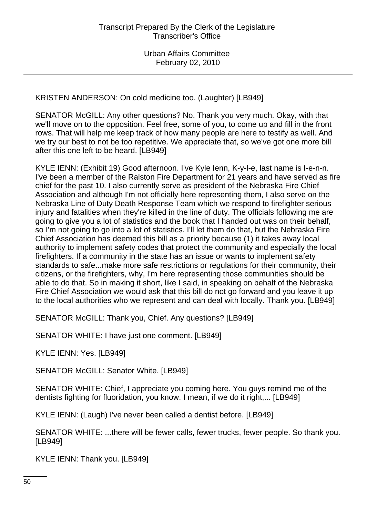KRISTEN ANDERSON: On cold medicine too. (Laughter) [LB949]

SENATOR McGILL: Any other questions? No. Thank you very much. Okay, with that we'll move on to the opposition. Feel free, some of you, to come up and fill in the front rows. That will help me keep track of how many people are here to testify as well. And we try our best to not be too repetitive. We appreciate that, so we've got one more bill after this one left to be heard. [LB949]

KYLE IENN: (Exhibit 19) Good afternoon. I've Kyle Ienn, K-y-l-e, last name is I-e-n-n. I've been a member of the Ralston Fire Department for 21 years and have served as fire chief for the past 10. I also currently serve as president of the Nebraska Fire Chief Association and although I'm not officially here representing them, I also serve on the Nebraska Line of Duty Death Response Team which we respond to firefighter serious injury and fatalities when they're killed in the line of duty. The officials following me are going to give you a lot of statistics and the book that I handed out was on their behalf, so I'm not going to go into a lot of statistics. I'll let them do that, but the Nebraska Fire Chief Association has deemed this bill as a priority because (1) it takes away local authority to implement safety codes that protect the community and especially the local firefighters. If a community in the state has an issue or wants to implement safety standards to safe...make more safe restrictions or regulations for their community, their citizens, or the firefighters, why, I'm here representing those communities should be able to do that. So in making it short, like I said, in speaking on behalf of the Nebraska Fire Chief Association we would ask that this bill do not go forward and you leave it up to the local authorities who we represent and can deal with locally. Thank you. [LB949]

SENATOR McGILL: Thank you, Chief. Any questions? [LB949]

SENATOR WHITE: I have just one comment. [LB949]

KYLE IENN: Yes. [LB949]

SENATOR McGILL: Senator White. [LB949]

SENATOR WHITE: Chief, I appreciate you coming here. You guys remind me of the dentists fighting for fluoridation, you know. I mean, if we do it right,... [LB949]

KYLE IENN: (Laugh) I've never been called a dentist before. [LB949]

SENATOR WHITE: ...there will be fewer calls, fewer trucks, fewer people. So thank you. [LB949]

KYLE IENN: Thank you. [LB949]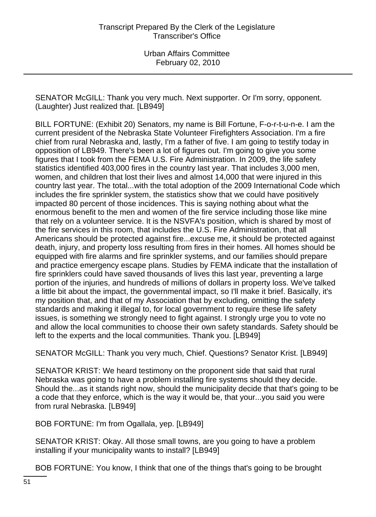SENATOR McGILL: Thank you very much. Next supporter. Or I'm sorry, opponent. (Laughter) Just realized that. [LB949]

BILL FORTUNE: (Exhibit 20) Senators, my name is Bill Fortune, F-o-r-t-u-n-e. I am the current president of the Nebraska State Volunteer Firefighters Association. I'm a fire chief from rural Nebraska and, lastly, I'm a father of five. I am going to testify today in opposition of LB949. There's been a lot of figures out. I'm going to give you some figures that I took from the FEMA U.S. Fire Administration. In 2009, the life safety statistics identified 403,000 fires in the country last year. That includes 3,000 men, women, and children that lost their lives and almost 14,000 that were injured in this country last year. The total...with the total adoption of the 2009 International Code which includes the fire sprinkler system, the statistics show that we could have positively impacted 80 percent of those incidences. This is saying nothing about what the enormous benefit to the men and women of the fire service including those like mine that rely on a volunteer service. It is the NSVFA's position, which is shared by most of the fire services in this room, that includes the U.S. Fire Administration, that all Americans should be protected against fire...excuse me, it should be protected against death, injury, and property loss resulting from fires in their homes. All homes should be equipped with fire alarms and fire sprinkler systems, and our families should prepare and practice emergency escape plans. Studies by FEMA indicate that the installation of fire sprinklers could have saved thousands of lives this last year, preventing a large portion of the injuries, and hundreds of millions of dollars in property loss. We've talked a little bit about the impact, the governmental impact, so I'll make it brief. Basically, it's my position that, and that of my Association that by excluding, omitting the safety standards and making it illegal to, for local government to require these life safety issues, is something we strongly need to fight against. I strongly urge you to vote no and allow the local communities to choose their own safety standards. Safety should be left to the experts and the local communities. Thank you. [LB949]

SENATOR McGILL: Thank you very much, Chief. Questions? Senator Krist. [LB949]

SENATOR KRIST: We heard testimony on the proponent side that said that rural Nebraska was going to have a problem installing fire systems should they decide. Should the...as it stands right now, should the municipality decide that that's going to be a code that they enforce, which is the way it would be, that your...you said you were from rural Nebraska. [LB949]

BOB FORTUNE: I'm from Ogallala, yep. [LB949]

SENATOR KRIST: Okay. All those small towns, are you going to have a problem installing if your municipality wants to install? [LB949]

BOB FORTUNE: You know, I think that one of the things that's going to be brought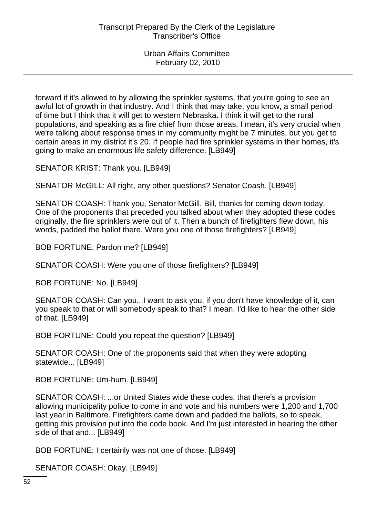forward if it's allowed to by allowing the sprinkler systems, that you're going to see an awful lot of growth in that industry. And I think that may take, you know, a small period of time but I think that it will get to western Nebraska. I think it will get to the rural populations, and speaking as a fire chief from those areas, I mean, it's very crucial when we're talking about response times in my community might be 7 minutes, but you get to certain areas in my district it's 20. If people had fire sprinkler systems in their homes, it's going to make an enormous life safety difference. [LB949]

SENATOR KRIST: Thank you. [LB949]

SENATOR McGILL: All right, any other questions? Senator Coash. [LB949]

SENATOR COASH: Thank you, Senator McGill. Bill, thanks for coming down today. One of the proponents that preceded you talked about when they adopted these codes originally, the fire sprinklers were out of it. Then a bunch of firefighters flew down, his words, padded the ballot there. Were you one of those firefighters? [LB949]

BOB FORTUNE: Pardon me? [LB949]

SENATOR COASH: Were you one of those firefighters? [LB949]

BOB FORTUNE: No. [LB949]

SENATOR COASH: Can you...I want to ask you, if you don't have knowledge of it, can you speak to that or will somebody speak to that? I mean, I'd like to hear the other side of that. [LB949]

BOB FORTUNE: Could you repeat the question? [LB949]

SENATOR COASH: One of the proponents said that when they were adopting statewide... [LB949]

BOB FORTUNE: Um-hum. [LB949]

SENATOR COASH: ...or United States wide these codes, that there's a provision allowing municipality police to come in and vote and his numbers were 1,200 and 1,700 last year in Baltimore. Firefighters came down and padded the ballots, so to speak, getting this provision put into the code book. And I'm just interested in hearing the other side of that and... [LB949]

BOB FORTUNE: I certainly was not one of those. [LB949]

SENATOR COASH: Okay. [LB949]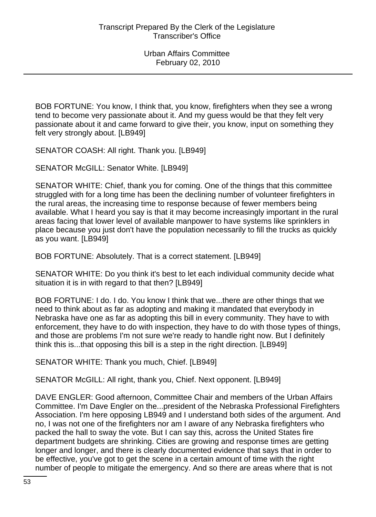BOB FORTUNE: You know, I think that, you know, firefighters when they see a wrong tend to become very passionate about it. And my guess would be that they felt very passionate about it and came forward to give their, you know, input on something they felt very strongly about. [LB949]

SENATOR COASH: All right. Thank you. [LB949]

SENATOR McGILL: Senator White. [LB949]

SENATOR WHITE: Chief, thank you for coming. One of the things that this committee struggled with for a long time has been the declining number of volunteer firefighters in the rural areas, the increasing time to response because of fewer members being available. What I heard you say is that it may become increasingly important in the rural areas facing that lower level of available manpower to have systems like sprinklers in place because you just don't have the population necessarily to fill the trucks as quickly as you want. [LB949]

BOB FORTUNE: Absolutely. That is a correct statement. [LB949]

SENATOR WHITE: Do you think it's best to let each individual community decide what situation it is in with regard to that then? [LB949]

BOB FORTUNE: I do. I do. You know I think that we...there are other things that we need to think about as far as adopting and making it mandated that everybody in Nebraska have one as far as adopting this bill in every community. They have to with enforcement, they have to do with inspection, they have to do with those types of things, and those are problems I'm not sure we're ready to handle right now. But I definitely think this is...that opposing this bill is a step in the right direction. [LB949]

SENATOR WHITE: Thank you much, Chief. [LB949]

SENATOR McGILL: All right, thank you, Chief. Next opponent. [LB949]

DAVE ENGLER: Good afternoon, Committee Chair and members of the Urban Affairs Committee. I'm Dave Engler on the...president of the Nebraska Professional Firefighters Association. I'm here opposing LB949 and I understand both sides of the argument. And no, I was not one of the firefighters nor am I aware of any Nebraska firefighters who packed the hall to sway the vote. But I can say this, across the United States fire department budgets are shrinking. Cities are growing and response times are getting longer and longer, and there is clearly documented evidence that says that in order to be effective, you've got to get the scene in a certain amount of time with the right number of people to mitigate the emergency. And so there are areas where that is not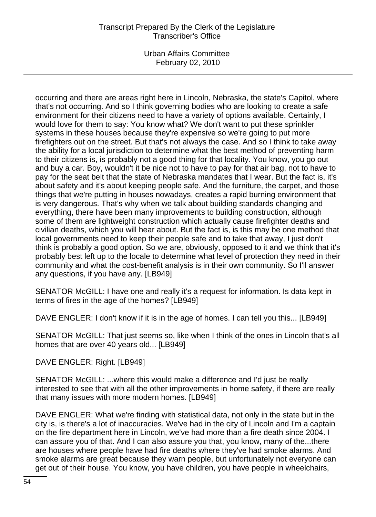Urban Affairs Committee February 02, 2010

occurring and there are areas right here in Lincoln, Nebraska, the state's Capitol, where that's not occurring. And so I think governing bodies who are looking to create a safe environment for their citizens need to have a variety of options available. Certainly, I would love for them to say: You know what? We don't want to put these sprinkler systems in these houses because they're expensive so we're going to put more firefighters out on the street. But that's not always the case. And so I think to take away the ability for a local jurisdiction to determine what the best method of preventing harm to their citizens is, is probably not a good thing for that locality. You know, you go out and buy a car. Boy, wouldn't it be nice not to have to pay for that air bag, not to have to pay for the seat belt that the state of Nebraska mandates that I wear. But the fact is, it's about safety and it's about keeping people safe. And the furniture, the carpet, and those things that we're putting in houses nowadays, creates a rapid burning environment that is very dangerous. That's why when we talk about building standards changing and everything, there have been many improvements to building construction, although some of them are lightweight construction which actually cause firefighter deaths and civilian deaths, which you will hear about. But the fact is, is this may be one method that local governments need to keep their people safe and to take that away, I just don't think is probably a good option. So we are, obviously, opposed to it and we think that it's probably best left up to the locale to determine what level of protection they need in their community and what the cost-benefit analysis is in their own community. So I'll answer any questions, if you have any. [LB949]

SENATOR McGILL: I have one and really it's a request for information. Is data kept in terms of fires in the age of the homes? [LB949]

DAVE ENGLER: I don't know if it is in the age of homes. I can tell you this... [LB949]

SENATOR McGILL: That just seems so, like when I think of the ones in Lincoln that's all homes that are over 40 years old... [LB949]

# DAVE ENGLER: Right. [LB949]

SENATOR McGILL: ...where this would make a difference and I'd just be really interested to see that with all the other improvements in home safety, if there are really that many issues with more modern homes. [LB949]

DAVE ENGLER: What we're finding with statistical data, not only in the state but in the city is, is there's a lot of inaccuracies. We've had in the city of Lincoln and I'm a captain on the fire department here in Lincoln, we've had more than a fire death since 2004. I can assure you of that. And I can also assure you that, you know, many of the...there are houses where people have had fire deaths where they've had smoke alarms. And smoke alarms are great because they warn people, but unfortunately not everyone can get out of their house. You know, you have children, you have people in wheelchairs,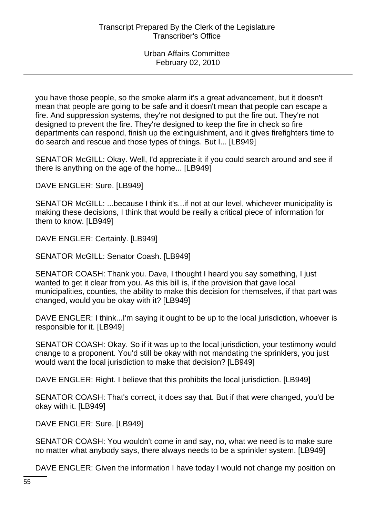you have those people, so the smoke alarm it's a great advancement, but it doesn't mean that people are going to be safe and it doesn't mean that people can escape a fire. And suppression systems, they're not designed to put the fire out. They're not designed to prevent the fire. They're designed to keep the fire in check so fire departments can respond, finish up the extinguishment, and it gives firefighters time to do search and rescue and those types of things. But I... [LB949]

SENATOR McGILL: Okay. Well, I'd appreciate it if you could search around and see if there is anything on the age of the home... [LB949]

DAVE ENGLER: Sure. [LB949]

SENATOR McGILL: ...because I think it's...if not at our level, whichever municipality is making these decisions, I think that would be really a critical piece of information for them to know. [LB949]

DAVE ENGLER: Certainly. [LB949]

SENATOR McGILL: Senator Coash. [LB949]

SENATOR COASH: Thank you. Dave, I thought I heard you say something, I just wanted to get it clear from you. As this bill is, if the provision that gave local municipalities, counties, the ability to make this decision for themselves, if that part was changed, would you be okay with it? [LB949]

DAVE ENGLER: I think...I'm saying it ought to be up to the local jurisdiction, whoever is responsible for it. [LB949]

SENATOR COASH: Okay. So if it was up to the local jurisdiction, your testimony would change to a proponent. You'd still be okay with not mandating the sprinklers, you just would want the local jurisdiction to make that decision? [LB949]

DAVE ENGLER: Right. I believe that this prohibits the local jurisdiction. [LB949]

SENATOR COASH: That's correct, it does say that. But if that were changed, you'd be okay with it. [LB949]

DAVE ENGLER: Sure. [LB949]

SENATOR COASH: You wouldn't come in and say, no, what we need is to make sure no matter what anybody says, there always needs to be a sprinkler system. [LB949]

DAVE ENGLER: Given the information I have today I would not change my position on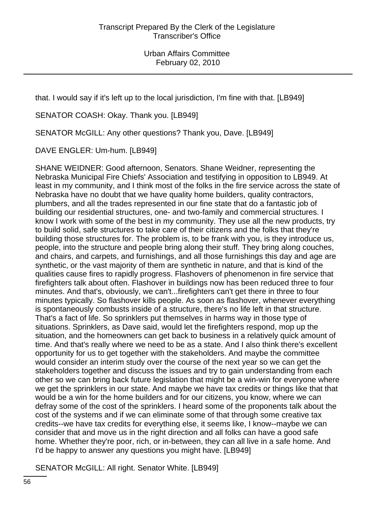that. I would say if it's left up to the local jurisdiction, I'm fine with that. [LB949]

SENATOR COASH: Okay. Thank you. [LB949]

SENATOR McGILL: Any other questions? Thank you, Dave. [LB949]

DAVE ENGLER: Um-hum. [LB949]

SHANE WEIDNER: Good afternoon, Senators. Shane Weidner, representing the Nebraska Municipal Fire Chiefs' Association and testifying in opposition to LB949. At least in my community, and I think most of the folks in the fire service across the state of Nebraska have no doubt that we have quality home builders, quality contractors, plumbers, and all the trades represented in our fine state that do a fantastic job of building our residential structures, one- and two-family and commercial structures. I know I work with some of the best in my community. They use all the new products, try to build solid, safe structures to take care of their citizens and the folks that they're building those structures for. The problem is, to be frank with you, is they introduce us, people, into the structure and people bring along their stuff. They bring along couches, and chairs, and carpets, and furnishings, and all those furnishings this day and age are synthetic, or the vast majority of them are synthetic in nature, and that is kind of the qualities cause fires to rapidly progress. Flashovers of phenomenon in fire service that firefighters talk about often. Flashover in buildings now has been reduced three to four minutes. And that's, obviously, we can't...firefighters can't get there in three to four minutes typically. So flashover kills people. As soon as flashover, whenever everything is spontaneously combusts inside of a structure, there's no life left in that structure. That's a fact of life. So sprinklers put themselves in harms way in those type of situations. Sprinklers, as Dave said, would let the firefighters respond, mop up the situation, and the homeowners can get back to business in a relatively quick amount of time. And that's really where we need to be as a state. And I also think there's excellent opportunity for us to get together with the stakeholders. And maybe the committee would consider an interim study over the course of the next year so we can get the stakeholders together and discuss the issues and try to gain understanding from each other so we can bring back future legislation that might be a win-win for everyone where we get the sprinklers in our state. And maybe we have tax credits or things like that that would be a win for the home builders and for our citizens, you know, where we can defray some of the cost of the sprinklers. I heard some of the proponents talk about the cost of the systems and if we can eliminate some of that through some creative tax credits--we have tax credits for everything else, it seems like, I know--maybe we can consider that and move us in the right direction and all folks can have a good safe home. Whether they're poor, rich, or in-between, they can all live in a safe home. And I'd be happy to answer any questions you might have. [LB949]

SENATOR McGILL: All right. Senator White. [LB949]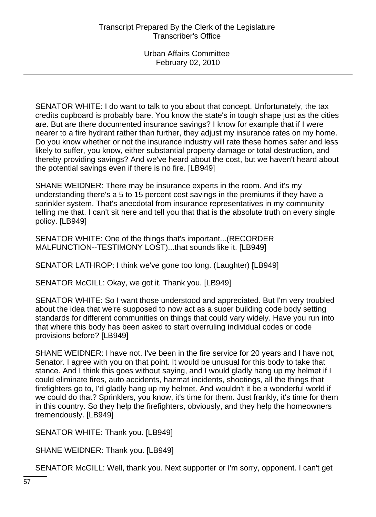SENATOR WHITE: I do want to talk to you about that concept. Unfortunately, the tax credits cupboard is probably bare. You know the state's in tough shape just as the cities are. But are there documented insurance savings? I know for example that if I were nearer to a fire hydrant rather than further, they adjust my insurance rates on my home. Do you know whether or not the insurance industry will rate these homes safer and less likely to suffer, you know, either substantial property damage or total destruction, and thereby providing savings? And we've heard about the cost, but we haven't heard about the potential savings even if there is no fire. [LB949]

SHANE WEIDNER: There may be insurance experts in the room. And it's my understanding there's a 5 to 15 percent cost savings in the premiums if they have a sprinkler system. That's anecdotal from insurance representatives in my community telling me that. I can't sit here and tell you that that is the absolute truth on every single policy. [LB949]

SENATOR WHITE: One of the things that's important...(RECORDER MALFUNCTION--TESTIMONY LOST)...that sounds like it. [LB949]

SENATOR LATHROP: I think we've gone too long. (Laughter) [LB949]

SENATOR McGILL: Okay, we got it. Thank you. [LB949]

SENATOR WHITE: So I want those understood and appreciated. But I'm very troubled about the idea that we're supposed to now act as a super building code body setting standards for different communities on things that could vary widely. Have you run into that where this body has been asked to start overruling individual codes or code provisions before? [LB949]

SHANE WEIDNER: I have not. I've been in the fire service for 20 years and I have not, Senator. I agree with you on that point. It would be unusual for this body to take that stance. And I think this goes without saying, and I would gladly hang up my helmet if I could eliminate fires, auto accidents, hazmat incidents, shootings, all the things that firefighters go to, I'd gladly hang up my helmet. And wouldn't it be a wonderful world if we could do that? Sprinklers, you know, it's time for them. Just frankly, it's time for them in this country. So they help the firefighters, obviously, and they help the homeowners tremendously. [LB949]

SENATOR WHITE: Thank you. [LB949]

SHANE WEIDNER: Thank you. [LB949]

SENATOR McGILL: Well, thank you. Next supporter or I'm sorry, opponent. I can't get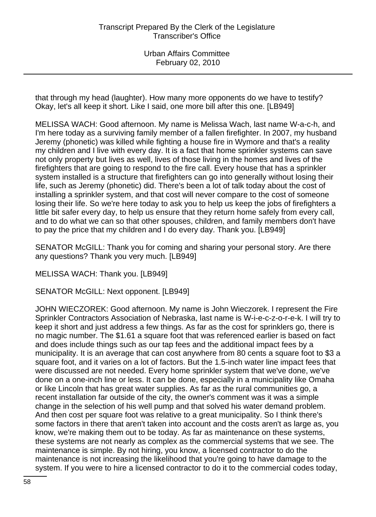that through my head (laughter). How many more opponents do we have to testify? Okay, let's all keep it short. Like I said, one more bill after this one. [LB949]

MELISSA WACH: Good afternoon. My name is Melissa Wach, last name W-a-c-h, and I'm here today as a surviving family member of a fallen firefighter. In 2007, my husband Jeremy (phonetic) was killed while fighting a house fire in Wymore and that's a reality my children and I live with every day. It is a fact that home sprinkler systems can save not only property but lives as well, lives of those living in the homes and lives of the firefighters that are going to respond to the fire call. Every house that has a sprinkler system installed is a structure that firefighters can go into generally without losing their life, such as Jeremy (phonetic) did. There's been a lot of talk today about the cost of installing a sprinkler system, and that cost will never compare to the cost of someone losing their life. So we're here today to ask you to help us keep the jobs of firefighters a little bit safer every day, to help us ensure that they return home safely from every call, and to do what we can so that other spouses, children, and family members don't have to pay the price that my children and I do every day. Thank you. [LB949]

SENATOR McGILL: Thank you for coming and sharing your personal story. Are there any questions? Thank you very much. [LB949]

MELISSA WACH: Thank you. [LB949]

SENATOR McGILL: Next opponent. [LB949]

JOHN WIECZOREK: Good afternoon. My name is John Wieczorek. I represent the Fire Sprinkler Contractors Association of Nebraska, last name is W-i-e-c-z-o-r-e-k. I will try to keep it short and just address a few things. As far as the cost for sprinklers go, there is no magic number. The \$1.61 a square foot that was referenced earlier is based on fact and does include things such as our tap fees and the additional impact fees by a municipality. It is an average that can cost anywhere from 80 cents a square foot to \$3 a square foot, and it varies on a lot of factors. But the 1.5-inch water line impact fees that were discussed are not needed. Every home sprinkler system that we've done, we've done on a one-inch line or less. It can be done, especially in a municipality like Omaha or like Lincoln that has great water supplies. As far as the rural communities go, a recent installation far outside of the city, the owner's comment was it was a simple change in the selection of his well pump and that solved his water demand problem. And then cost per square foot was relative to a great municipality. So I think there's some factors in there that aren't taken into account and the costs aren't as large as, you know, we're making them out to be today. As far as maintenance on these systems, these systems are not nearly as complex as the commercial systems that we see. The maintenance is simple. By not hiring, you know, a licensed contractor to do the maintenance is not increasing the likelihood that you're going to have damage to the system. If you were to hire a licensed contractor to do it to the commercial codes today,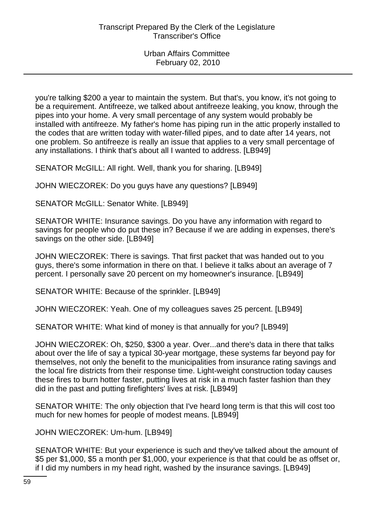you're talking \$200 a year to maintain the system. But that's, you know, it's not going to be a requirement. Antifreeze, we talked about antifreeze leaking, you know, through the pipes into your home. A very small percentage of any system would probably be installed with antifreeze. My father's home has piping run in the attic properly installed to the codes that are written today with water-filled pipes, and to date after 14 years, not one problem. So antifreeze is really an issue that applies to a very small percentage of any installations. I think that's about all I wanted to address. [LB949]

SENATOR McGILL: All right. Well, thank you for sharing. [LB949]

JOHN WIECZOREK: Do you guys have any questions? [LB949]

SENATOR McGILL: Senator White. [LB949]

SENATOR WHITE: Insurance savings. Do you have any information with regard to savings for people who do put these in? Because if we are adding in expenses, there's savings on the other side. [LB949]

JOHN WIECZOREK: There is savings. That first packet that was handed out to you guys, there's some information in there on that. I believe it talks about an average of 7 percent. I personally save 20 percent on my homeowner's insurance. [LB949]

SENATOR WHITE: Because of the sprinkler. [LB949]

JOHN WIECZOREK: Yeah. One of my colleagues saves 25 percent. [LB949]

SENATOR WHITE: What kind of money is that annually for you? [LB949]

JOHN WIECZOREK: Oh, \$250, \$300 a year. Over...and there's data in there that talks about over the life of say a typical 30-year mortgage, these systems far beyond pay for themselves, not only the benefit to the municipalities from insurance rating savings and the local fire districts from their response time. Light-weight construction today causes these fires to burn hotter faster, putting lives at risk in a much faster fashion than they did in the past and putting firefighters' lives at risk. [LB949]

SENATOR WHITE: The only objection that I've heard long term is that this will cost too much for new homes for people of modest means. [LB949]

JOHN WIECZOREK: Um-hum. [LB949]

SENATOR WHITE: But your experience is such and they've talked about the amount of \$5 per \$1,000, \$5 a month per \$1,000, your experience is that that could be as offset or, if I did my numbers in my head right, washed by the insurance savings. [LB949]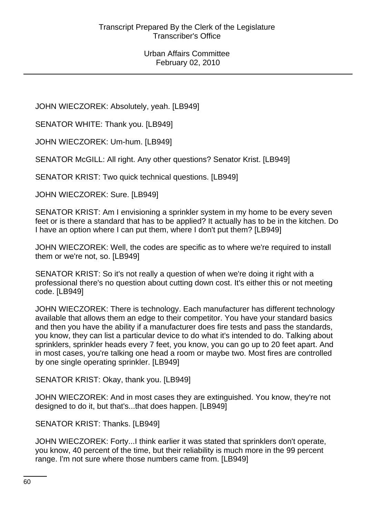JOHN WIECZOREK: Absolutely, yeah. [LB949]

SENATOR WHITE: Thank you. [LB949]

JOHN WIECZOREK: Um-hum. [LB949]

SENATOR McGILL: All right. Any other questions? Senator Krist. [LB949]

SENATOR KRIST: Two quick technical questions. [LB949]

JOHN WIECZOREK: Sure. [LB949]

SENATOR KRIST: Am I envisioning a sprinkler system in my home to be every seven feet or is there a standard that has to be applied? It actually has to be in the kitchen. Do I have an option where I can put them, where I don't put them? [LB949]

JOHN WIECZOREK: Well, the codes are specific as to where we're required to install them or we're not, so. [LB949]

SENATOR KRIST: So it's not really a question of when we're doing it right with a professional there's no question about cutting down cost. It's either this or not meeting code. [LB949]

JOHN WIECZOREK: There is technology. Each manufacturer has different technology available that allows them an edge to their competitor. You have your standard basics and then you have the ability if a manufacturer does fire tests and pass the standards, you know, they can list a particular device to do what it's intended to do. Talking about sprinklers, sprinkler heads every 7 feet, you know, you can go up to 20 feet apart. And in most cases, you're talking one head a room or maybe two. Most fires are controlled by one single operating sprinkler. [LB949]

SENATOR KRIST: Okay, thank you. [LB949]

JOHN WIECZOREK: And in most cases they are extinguished. You know, they're not designed to do it, but that's...that does happen. [LB949]

SENATOR KRIST: Thanks. [LB949]

JOHN WIECZOREK: Forty...I think earlier it was stated that sprinklers don't operate, you know, 40 percent of the time, but their reliability is much more in the 99 percent range. I'm not sure where those numbers came from. [LB949]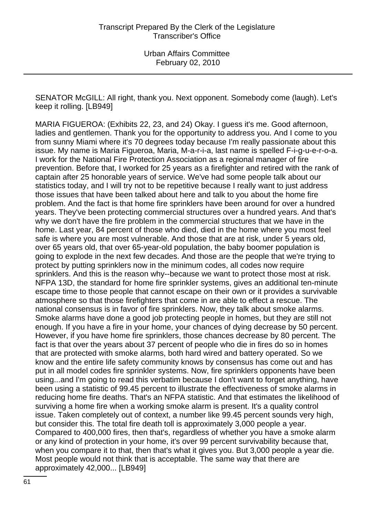SENATOR McGILL: All right, thank you. Next opponent. Somebody come (laugh). Let's keep it rolling. [LB949]

MARIA FIGUEROA: (Exhibits 22, 23, and 24) Okay. I guess it's me. Good afternoon, ladies and gentlemen. Thank you for the opportunity to address you. And I come to you from sunny Miami where it's 70 degrees today because I'm really passionate about this issue. My name is Maria Figueroa, Maria, M-a-r-i-a, last name is spelled F-i-g-u-e-r-o-a. I work for the National Fire Protection Association as a regional manager of fire prevention. Before that, I worked for 25 years as a firefighter and retired with the rank of captain after 25 honorable years of service. We've had some people talk about our statistics today, and I will try not to be repetitive because I really want to just address those issues that have been talked about here and talk to you about the home fire problem. And the fact is that home fire sprinklers have been around for over a hundred years. They've been protecting commercial structures over a hundred years. And that's why we don't have the fire problem in the commercial structures that we have in the home. Last year, 84 percent of those who died, died in the home where you most feel safe is where you are most vulnerable. And those that are at risk, under 5 years old, over 65 years old, that over 65-year-old population, the baby boomer population is going to explode in the next few decades. And those are the people that we're trying to protect by putting sprinklers now in the minimum codes, all codes now require sprinklers. And this is the reason why--because we want to protect those most at risk. NFPA 13D, the standard for home fire sprinkler systems, gives an additional ten-minute escape time to those people that cannot escape on their own or it provides a survivable atmosphere so that those firefighters that come in are able to effect a rescue. The national consensus is in favor of fire sprinklers. Now, they talk about smoke alarms. Smoke alarms have done a good job protecting people in homes, but they are still not enough. If you have a fire in your home, your chances of dying decrease by 50 percent. However, if you have home fire sprinklers, those chances decrease by 80 percent. The fact is that over the years about 37 percent of people who die in fires do so in homes that are protected with smoke alarms, both hard wired and battery operated. So we know and the entire life safety community knows by consensus has come out and has put in all model codes fire sprinkler systems. Now, fire sprinklers opponents have been using...and I'm going to read this verbatim because I don't want to forget anything, have been using a statistic of 99.45 percent to illustrate the effectiveness of smoke alarms in reducing home fire deaths. That's an NFPA statistic. And that estimates the likelihood of surviving a home fire when a working smoke alarm is present. It's a quality control issue. Taken completely out of context, a number like 99.45 percent sounds very high, but consider this. The total fire death toll is approximately 3,000 people a year. Compared to 400,000 fires, then that's, regardless of whether you have a smoke alarm or any kind of protection in your home, it's over 99 percent survivability because that, when you compare it to that, then that's what it gives you. But 3,000 people a year die. Most people would not think that is acceptable. The same way that there are approximately 42,000... [LB949]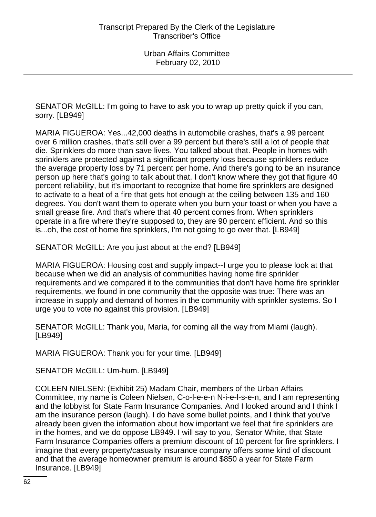SENATOR McGILL: I'm going to have to ask you to wrap up pretty quick if you can, sorry. [LB949]

MARIA FIGUEROA: Yes...42,000 deaths in automobile crashes, that's a 99 percent over 6 million crashes, that's still over a 99 percent but there's still a lot of people that die. Sprinklers do more than save lives. You talked about that. People in homes with sprinklers are protected against a significant property loss because sprinklers reduce the average property loss by 71 percent per home. And there's going to be an insurance person up here that's going to talk about that. I don't know where they got that figure 40 percent reliability, but it's important to recognize that home fire sprinklers are designed to activate to a heat of a fire that gets hot enough at the ceiling between 135 and 160 degrees. You don't want them to operate when you burn your toast or when you have a small grease fire. And that's where that 40 percent comes from. When sprinklers operate in a fire where they're supposed to, they are 90 percent efficient. And so this is...oh, the cost of home fire sprinklers, I'm not going to go over that. [LB949]

SENATOR McGILL: Are you just about at the end? [LB949]

MARIA FIGUEROA: Housing cost and supply impact--I urge you to please look at that because when we did an analysis of communities having home fire sprinkler requirements and we compared it to the communities that don't have home fire sprinkler requirements, we found in one community that the opposite was true: There was an increase in supply and demand of homes in the community with sprinkler systems. So I urge you to vote no against this provision. [LB949]

SENATOR McGILL: Thank you, Maria, for coming all the way from Miami (laugh). [LB949]

MARIA FIGUEROA: Thank you for your time. [LB949]

SENATOR McGILL: Um-hum. [LB949]

COLEEN NIELSEN: (Exhibit 25) Madam Chair, members of the Urban Affairs Committee, my name is Coleen Nielsen, C-o-l-e-e-n N-i-e-l-s-e-n, and I am representing and the lobbyist for State Farm Insurance Companies. And I looked around and I think I am the insurance person (laugh). I do have some bullet points, and I think that you've already been given the information about how important we feel that fire sprinklers are in the homes, and we do oppose LB949. I will say to you, Senator White, that State Farm Insurance Companies offers a premium discount of 10 percent for fire sprinklers. I imagine that every property/casualty insurance company offers some kind of discount and that the average homeowner premium is around \$850 a year for State Farm Insurance. [LB949]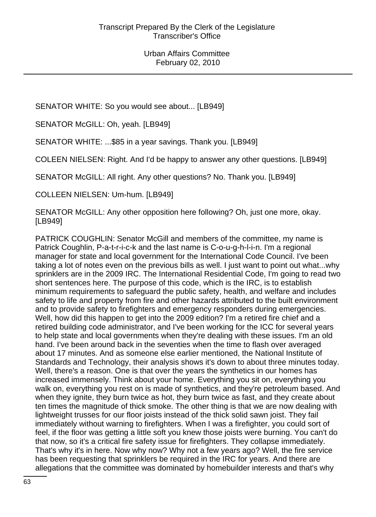SENATOR WHITE: So you would see about... [LB949]

SENATOR McGILL: Oh, yeah. [LB949]

SENATOR WHITE: ...\$85 in a year savings. Thank you. [LB949]

COLEEN NIELSEN: Right. And I'd be happy to answer any other questions. [LB949]

SENATOR McGILL: All right. Any other questions? No. Thank you. [LB949]

COLLEEN NIELSEN: Um-hum. [LB949]

SENATOR McGILL: Any other opposition here following? Oh, just one more, okay. [LB949]

PATRICK COUGHLIN: Senator McGill and members of the committee, my name is Patrick Coughlin, P-a-t-r-i-c-k and the last name is C-o-u-g-h-l-i-n. I'm a regional manager for state and local government for the International Code Council. I've been taking a lot of notes even on the previous bills as well. I just want to point out what...why sprinklers are in the 2009 IRC. The International Residential Code, I'm going to read two short sentences here. The purpose of this code, which is the IRC, is to establish minimum requirements to safeguard the public safety, health, and welfare and includes safety to life and property from fire and other hazards attributed to the built environment and to provide safety to firefighters and emergency responders during emergencies. Well, how did this happen to get into the 2009 edition? I'm a retired fire chief and a retired building code administrator, and I've been working for the ICC for several years to help state and local governments when they're dealing with these issues. I'm an old hand. I've been around back in the seventies when the time to flash over averaged about 17 minutes. And as someone else earlier mentioned, the National Institute of Standards and Technology, their analysis shows it's down to about three minutes today. Well, there's a reason. One is that over the years the synthetics in our homes has increased immensely. Think about your home. Everything you sit on, everything you walk on, everything you rest on is made of synthetics, and they're petroleum based. And when they ignite, they burn twice as hot, they burn twice as fast, and they create about ten times the magnitude of thick smoke. The other thing is that we are now dealing with lightweight trusses for our floor joists instead of the thick solid sawn joist. They fail immediately without warning to firefighters. When I was a firefighter, you could sort of feel, if the floor was getting a little soft you knew those joists were burning. You can't do that now, so it's a critical fire safety issue for firefighters. They collapse immediately. That's why it's in here. Now why now? Why not a few years ago? Well, the fire service has been requesting that sprinklers be required in the IRC for years. And there are allegations that the committee was dominated by homebuilder interests and that's why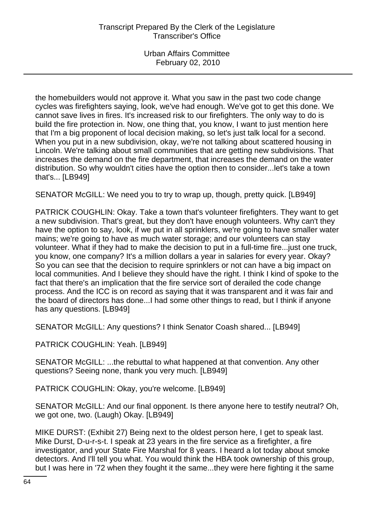the homebuilders would not approve it. What you saw in the past two code change cycles was firefighters saying, look, we've had enough. We've got to get this done. We cannot save lives in fires. It's increased risk to our firefighters. The only way to do is build the fire protection in. Now, one thing that, you know, I want to just mention here that I'm a big proponent of local decision making, so let's just talk local for a second. When you put in a new subdivision, okay, we're not talking about scattered housing in Lincoln. We're talking about small communities that are getting new subdivisions. That increases the demand on the fire department, that increases the demand on the water distribution. So why wouldn't cities have the option then to consider...let's take a town that's... [LB949]

SENATOR McGILL: We need you to try to wrap up, though, pretty quick. [LB949]

PATRICK COUGHLIN: Okay. Take a town that's volunteer firefighters. They want to get a new subdivision. That's great, but they don't have enough volunteers. Why can't they have the option to say, look, if we put in all sprinklers, we're going to have smaller water mains; we're going to have as much water storage; and our volunteers can stay volunteer. What if they had to make the decision to put in a full-time fire...just one truck, you know, one company? It's a million dollars a year in salaries for every year. Okay? So you can see that the decision to require sprinklers or not can have a big impact on local communities. And I believe they should have the right. I think I kind of spoke to the fact that there's an implication that the fire service sort of derailed the code change process. And the ICC is on record as saying that it was transparent and it was fair and the board of directors has done...I had some other things to read, but I think if anyone has any questions. [LB949]

SENATOR McGILL: Any questions? I think Senator Coash shared... [LB949]

PATRICK COUGHLIN: Yeah. [LB949]

SENATOR McGILL: ...the rebuttal to what happened at that convention. Any other questions? Seeing none, thank you very much. [LB949]

PATRICK COUGHLIN: Okay, you're welcome. [LB949]

SENATOR McGILL: And our final opponent. Is there anyone here to testify neutral? Oh, we got one, two. (Laugh) Okay. [LB949]

MIKE DURST: (Exhibit 27) Being next to the oldest person here, I get to speak last. Mike Durst, D-u-r-s-t. I speak at 23 years in the fire service as a firefighter, a fire investigator, and your State Fire Marshal for 8 years. I heard a lot today about smoke detectors. And I'll tell you what. You would think the HBA took ownership of this group, but I was here in '72 when they fought it the same...they were here fighting it the same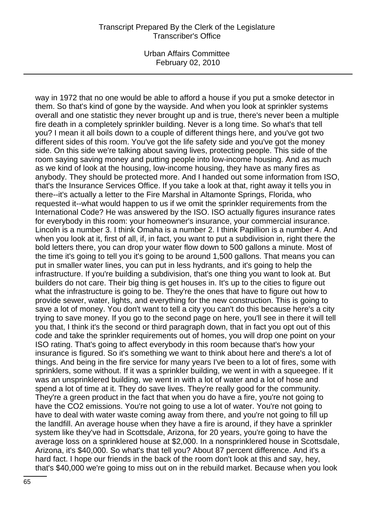Urban Affairs Committee February 02, 2010

way in 1972 that no one would be able to afford a house if you put a smoke detector in them. So that's kind of gone by the wayside. And when you look at sprinkler systems overall and one statistic they never brought up and is true, there's never been a multiple fire death in a completely sprinkler building. Never is a long time. So what's that tell you? I mean it all boils down to a couple of different things here, and you've got two different sides of this room. You've got the life safety side and you've got the money side. On this side we're talking about saving lives, protecting people. This side of the room saying saving money and putting people into low-income housing. And as much as we kind of look at the housing, low-income housing, they have as many fires as anybody. They should be protected more. And I handed out some information from ISO, that's the Insurance Services Office. If you take a look at that, right away it tells you in there--it's actually a letter to the Fire Marshal in Altamonte Springs, Florida, who requested it--what would happen to us if we omit the sprinkler requirements from the International Code? He was answered by the ISO. ISO actually figures insurance rates for everybody in this room: your homeowner's insurance, your commercial insurance. Lincoln is a number 3. I think Omaha is a number 2. I think Papillion is a number 4. And when you look at it, first of all, if, in fact, you want to put a subdivision in, right there the bold letters there, you can drop your water flow down to 500 gallons a minute. Most of the time it's going to tell you it's going to be around 1,500 gallons. That means you can put in smaller water lines, you can put in less hydrants, and it's going to help the infrastructure. If you're building a subdivision, that's one thing you want to look at. But builders do not care. Their big thing is get houses in. It's up to the cities to figure out what the infrastructure is going to be. They're the ones that have to figure out how to provide sewer, water, lights, and everything for the new construction. This is going to save a lot of money. You don't want to tell a city you can't do this because here's a city trying to save money. If you go to the second page on here, you'll see in there it will tell you that, I think it's the second or third paragraph down, that in fact you opt out of this code and take the sprinkler requirements out of homes, you will drop one point on your ISO rating. That's going to affect everybody in this room because that's how your insurance is figured. So it's something we want to think about here and there's a lot of things. And being in the fire service for many years I've been to a lot of fires, some with sprinklers, some without. If it was a sprinkler building, we went in with a squeegee. If it was an unsprinklered building, we went in with a lot of water and a lot of hose and spend a lot of time at it. They do save lives. They're really good for the community. They're a green product in the fact that when you do have a fire, you're not going to have the CO2 emissions. You're not going to use a lot of water. You're not going to have to deal with water waste coming away from there, and you're not going to fill up the landfill. An average house when they have a fire is around, if they have a sprinkler system like they've had in Scottsdale, Arizona, for 20 years, you're going to have the average loss on a sprinklered house at \$2,000. In a nonsprinklered house in Scottsdale, Arizona, it's \$40,000. So what's that tell you? About 87 percent difference. And it's a hard fact. I hope our friends in the back of the room don't look at this and say, hey, that's \$40,000 we're going to miss out on in the rebuild market. Because when you look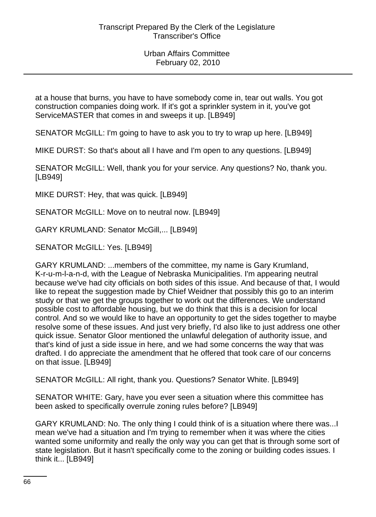at a house that burns, you have to have somebody come in, tear out walls. You got construction companies doing work. If it's got a sprinkler system in it, you've got ServiceMASTER that comes in and sweeps it up. [LB949]

SENATOR McGILL: I'm going to have to ask you to try to wrap up here. [LB949]

MIKE DURST: So that's about all I have and I'm open to any questions. [LB949]

SENATOR McGILL: Well, thank you for your service. Any questions? No, thank you. [LB949]

MIKE DURST: Hey, that was quick. [LB949]

SENATOR McGILL: Move on to neutral now. [LB949]

GARY KRUMLAND: Senator McGill,... [LB949]

SENATOR McGILL: Yes. [LB949]

GARY KRUMLAND: ...members of the committee, my name is Gary Krumland, K-r-u-m-l-a-n-d, with the League of Nebraska Municipalities. I'm appearing neutral because we've had city officials on both sides of this issue. And because of that, I would like to repeat the suggestion made by Chief Weidner that possibly this go to an interim study or that we get the groups together to work out the differences. We understand possible cost to affordable housing, but we do think that this is a decision for local control. And so we would like to have an opportunity to get the sides together to maybe resolve some of these issues. And just very briefly, I'd also like to just address one other quick issue. Senator Gloor mentioned the unlawful delegation of authority issue, and that's kind of just a side issue in here, and we had some concerns the way that was drafted. I do appreciate the amendment that he offered that took care of our concerns on that issue. [LB949]

SENATOR McGILL: All right, thank you. Questions? Senator White. [LB949]

SENATOR WHITE: Gary, have you ever seen a situation where this committee has been asked to specifically overrule zoning rules before? [LB949]

GARY KRUMLAND: No. The only thing I could think of is a situation where there was...I mean we've had a situation and I'm trying to remember when it was where the cities wanted some uniformity and really the only way you can get that is through some sort of state legislation. But it hasn't specifically come to the zoning or building codes issues. I think it... [LB949]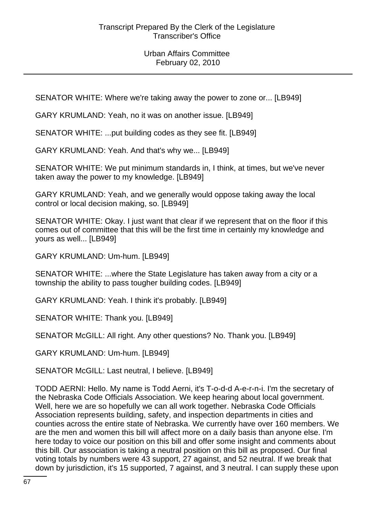SENATOR WHITE: Where we're taking away the power to zone or... [LB949]

GARY KRUMLAND: Yeah, no it was on another issue. [LB949]

SENATOR WHITE: ...put building codes as they see fit. [LB949]

GARY KRUMLAND: Yeah. And that's why we... [LB949]

SENATOR WHITE: We put minimum standards in, I think, at times, but we've never taken away the power to my knowledge. [LB949]

GARY KRUMLAND: Yeah, and we generally would oppose taking away the local control or local decision making, so. [LB949]

SENATOR WHITE: Okay. I just want that clear if we represent that on the floor if this comes out of committee that this will be the first time in certainly my knowledge and yours as well... [LB949]

GARY KRUMLAND: Um-hum. [LB949]

SENATOR WHITE: ...where the State Legislature has taken away from a city or a township the ability to pass tougher building codes. [LB949]

GARY KRUMLAND: Yeah. I think it's probably. [LB949]

SENATOR WHITE: Thank you. [LB949]

SENATOR McGILL: All right. Any other questions? No. Thank you. [LB949]

GARY KRUMLAND: Um-hum. [LB949]

SENATOR McGILL: Last neutral, I believe. [LB949]

TODD AERNI: Hello. My name is Todd Aerni, it's T-o-d-d A-e-r-n-i. I'm the secretary of the Nebraska Code Officials Association. We keep hearing about local government. Well, here we are so hopefully we can all work together. Nebraska Code Officials Association represents building, safety, and inspection departments in cities and counties across the entire state of Nebraska. We currently have over 160 members. We are the men and women this bill will affect more on a daily basis than anyone else. I'm here today to voice our position on this bill and offer some insight and comments about this bill. Our association is taking a neutral position on this bill as proposed. Our final voting totals by numbers were 43 support, 27 against, and 52 neutral. If we break that down by jurisdiction, it's 15 supported, 7 against, and 3 neutral. I can supply these upon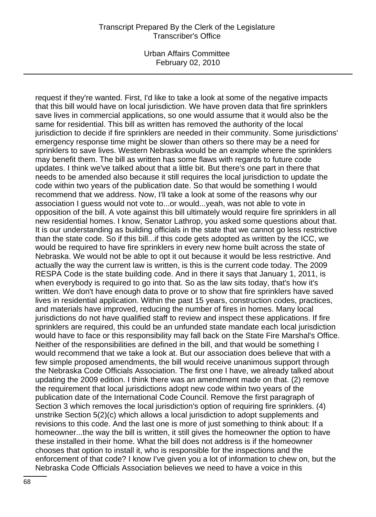Urban Affairs Committee February 02, 2010

request if they're wanted. First, I'd like to take a look at some of the negative impacts that this bill would have on local jurisdiction. We have proven data that fire sprinklers save lives in commercial applications, so one would assume that it would also be the same for residential. This bill as written has removed the authority of the local jurisdiction to decide if fire sprinklers are needed in their community. Some jurisdictions' emergency response time might be slower than others so there may be a need for sprinklers to save lives. Western Nebraska would be an example where the sprinklers may benefit them. The bill as written has some flaws with regards to future code updates. I think we've talked about that a little bit. But there's one part in there that needs to be amended also because it still requires the local jurisdiction to update the code within two years of the publication date. So that would be something I would recommend that we address. Now, I'll take a look at some of the reasons why our association I guess would not vote to...or would...yeah, was not able to vote in opposition of the bill. A vote against this bill ultimately would require fire sprinklers in all new residential homes. I know, Senator Lathrop, you asked some questions about that. It is our understanding as building officials in the state that we cannot go less restrictive than the state code. So if this bill...if this code gets adopted as written by the ICC, we would be required to have fire sprinklers in every new home built across the state of Nebraska. We would not be able to opt it out because it would be less restrictive. And actually the way the current law is written, is this is the current code today. The 2009 RESPA Code is the state building code. And in there it says that January 1, 2011, is when everybody is required to go into that. So as the law sits today, that's how it's written. We don't have enough data to prove or to show that fire sprinklers have saved lives in residential application. Within the past 15 years, construction codes, practices, and materials have improved, reducing the number of fires in homes. Many local jurisdictions do not have qualified staff to review and inspect these applications. If fire sprinklers are required, this could be an unfunded state mandate each local jurisdiction would have to face or this responsibility may fall back on the State Fire Marshal's Office. Neither of the responsibilities are defined in the bill, and that would be something I would recommend that we take a look at. But our association does believe that with a few simple proposed amendments, the bill would receive unanimous support through the Nebraska Code Officials Association. The first one I have, we already talked about updating the 2009 edition. I think there was an amendment made on that. (2) remove the requirement that local jurisdictions adopt new code within two years of the publication date of the International Code Council. Remove the first paragraph of Section 3 which removes the local jurisdiction's option of requiring fire sprinklers. (4) unstrike Section 5(2)(c) which allows a local jurisdiction to adopt supplements and revisions to this code. And the last one is more of just something to think about: If a homeowner...the way the bill is written, it still gives the homeowner the option to have these installed in their home. What the bill does not address is if the homeowner chooses that option to install it, who is responsible for the inspections and the enforcement of that code? I know I've given you a lot of information to chew on, but the Nebraska Code Officials Association believes we need to have a voice in this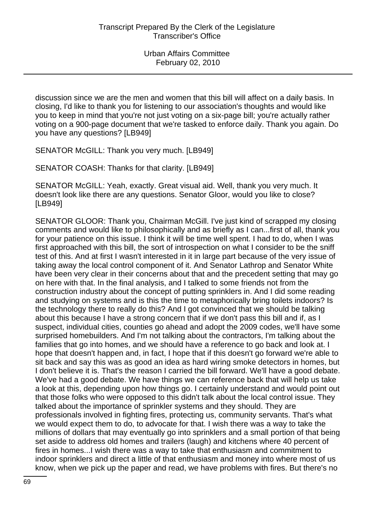discussion since we are the men and women that this bill will affect on a daily basis. In closing, I'd like to thank you for listening to our association's thoughts and would like you to keep in mind that you're not just voting on a six-page bill; you're actually rather voting on a 900-page document that we're tasked to enforce daily. Thank you again. Do you have any questions? [LB949]

SENATOR McGILL: Thank you very much. [LB949]

SENATOR COASH: Thanks for that clarity. [LB949]

SENATOR McGILL: Yeah, exactly. Great visual aid. Well, thank you very much. It doesn't look like there are any questions. Senator Gloor, would you like to close? [LB949]

SENATOR GLOOR: Thank you, Chairman McGill. I've just kind of scrapped my closing comments and would like to philosophically and as briefly as I can...first of all, thank you for your patience on this issue. I think it will be time well spent. I had to do, when I was first approached with this bill, the sort of introspection on what I consider to be the sniff test of this. And at first I wasn't interested in it in large part because of the very issue of taking away the local control component of it. And Senator Lathrop and Senator White have been very clear in their concerns about that and the precedent setting that may go on here with that. In the final analysis, and I talked to some friends not from the construction industry about the concept of putting sprinklers in. And I did some reading and studying on systems and is this the time to metaphorically bring toilets indoors? Is the technology there to really do this? And I got convinced that we should be talking about this because I have a strong concern that if we don't pass this bill and if, as I suspect, individual cities, counties go ahead and adopt the 2009 codes, we'll have some surprised homebuilders. And I'm not talking about the contractors, I'm talking about the families that go into homes, and we should have a reference to go back and look at. I hope that doesn't happen and, in fact, I hope that if this doesn't go forward we're able to sit back and say this was as good an idea as hard wiring smoke detectors in homes, but I don't believe it is. That's the reason I carried the bill forward. We'll have a good debate. We've had a good debate. We have things we can reference back that will help us take a look at this, depending upon how things go. I certainly understand and would point out that those folks who were opposed to this didn't talk about the local control issue. They talked about the importance of sprinkler systems and they should. They are professionals involved in fighting fires, protecting us, community servants. That's what we would expect them to do, to advocate for that. I wish there was a way to take the millions of dollars that may eventually go into sprinklers and a small portion of that being set aside to address old homes and trailers (laugh) and kitchens where 40 percent of fires in homes...I wish there was a way to take that enthusiasm and commitment to indoor sprinklers and direct a little of that enthusiasm and money into where most of us know, when we pick up the paper and read, we have problems with fires. But there's no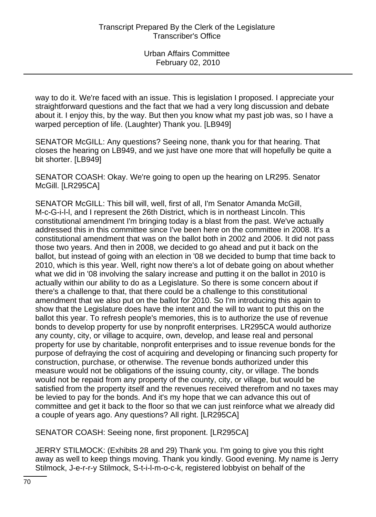way to do it. We're faced with an issue. This is legislation I proposed. I appreciate your straightforward questions and the fact that we had a very long discussion and debate about it. I enjoy this, by the way. But then you know what my past job was, so I have a warped perception of life. (Laughter) Thank you. [LB949]

SENATOR McGILL: Any questions? Seeing none, thank you for that hearing. That closes the hearing on LB949, and we just have one more that will hopefully be quite a bit shorter. [LB949]

SENATOR COASH: Okay. We're going to open up the hearing on LR295. Senator McGill. [LR295CA]

SENATOR McGILL: This bill will, well, first of all, I'm Senator Amanda McGill, M-c-G-i-l-l, and I represent the 26th District, which is in northeast Lincoln. This constitutional amendment I'm bringing today is a blast from the past. We've actually addressed this in this committee since I've been here on the committee in 2008. It's a constitutional amendment that was on the ballot both in 2002 and 2006. It did not pass those two years. And then in 2008, we decided to go ahead and put it back on the ballot, but instead of going with an election in '08 we decided to bump that time back to 2010, which is this year. Well, right now there's a lot of debate going on about whether what we did in '08 involving the salary increase and putting it on the ballot in 2010 is actually within our ability to do as a Legislature. So there is some concern about if there's a challenge to that, that there could be a challenge to this constitutional amendment that we also put on the ballot for 2010. So I'm introducing this again to show that the Legislature does have the intent and the will to want to put this on the ballot this year. To refresh people's memories, this is to authorize the use of revenue bonds to develop property for use by nonprofit enterprises. LR295CA would authorize any county, city, or village to acquire, own, develop, and lease real and personal property for use by charitable, nonprofit enterprises and to issue revenue bonds for the purpose of defraying the cost of acquiring and developing or financing such property for construction, purchase, or otherwise. The revenue bonds authorized under this measure would not be obligations of the issuing county, city, or village. The bonds would not be repaid from any property of the county, city, or village, but would be satisfied from the property itself and the revenues received therefrom and no taxes may be levied to pay for the bonds. And it's my hope that we can advance this out of committee and get it back to the floor so that we can just reinforce what we already did a couple of years ago. Any questions? All right. [LR295CA]

SENATOR COASH: Seeing none, first proponent. [LR295CA]

JERRY STILMOCK: (Exhibits 28 and 29) Thank you. I'm going to give you this right away as well to keep things moving. Thank you kindly. Good evening. My name is Jerry Stilmock, J-e-r-r-y Stilmock, S-t-i-l-m-o-c-k, registered lobbyist on behalf of the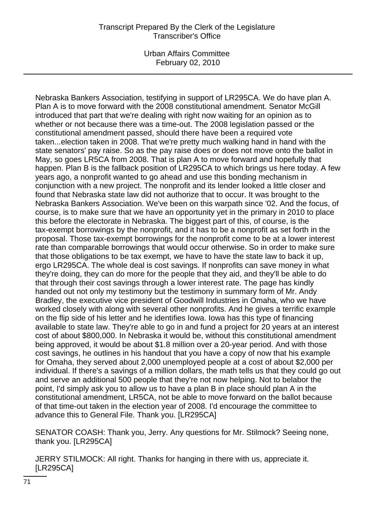Urban Affairs Committee February 02, 2010

Nebraska Bankers Association, testifying in support of LR295CA. We do have plan A. Plan A is to move forward with the 2008 constitutional amendment. Senator McGill introduced that part that we're dealing with right now waiting for an opinion as to whether or not because there was a time-out. The 2008 legislation passed or the constitutional amendment passed, should there have been a required vote taken...election taken in 2008. That we're pretty much walking hand in hand with the state senators' pay raise. So as the pay raise does or does not move onto the ballot in May, so goes LR5CA from 2008. That is plan A to move forward and hopefully that happen. Plan B is the fallback position of LR295CA to which brings us here today. A few years ago, a nonprofit wanted to go ahead and use this bonding mechanism in conjunction with a new project. The nonprofit and its lender looked a little closer and found that Nebraska state law did not authorize that to occur. It was brought to the Nebraska Bankers Association. We've been on this warpath since '02. And the focus, of course, is to make sure that we have an opportunity yet in the primary in 2010 to place this before the electorate in Nebraska. The biggest part of this, of course, is the tax-exempt borrowings by the nonprofit, and it has to be a nonprofit as set forth in the proposal. Those tax-exempt borrowings for the nonprofit come to be at a lower interest rate than comparable borrowings that would occur otherwise. So in order to make sure that those obligations to be tax exempt, we have to have the state law to back it up, ergo LR295CA. The whole deal is cost savings. If nonprofits can save money in what they're doing, they can do more for the people that they aid, and they'll be able to do that through their cost savings through a lower interest rate. The page has kindly handed out not only my testimony but the testimony in summary form of Mr. Andy Bradley, the executive vice president of Goodwill Industries in Omaha, who we have worked closely with along with several other nonprofits. And he gives a terrific example on the flip side of his letter and he identifies Iowa. Iowa has this type of financing available to state law. They're able to go in and fund a project for 20 years at an interest cost of about \$800,000. In Nebraska it would be, without this constitutional amendment being approved, it would be about \$1.8 million over a 20-year period. And with those cost savings, he outlines in his handout that you have a copy of now that his example for Omaha, they served about 2,000 unemployed people at a cost of about \$2,000 per individual. If there's a savings of a million dollars, the math tells us that they could go out and serve an additional 500 people that they're not now helping. Not to belabor the point, I'd simply ask you to allow us to have a plan B in place should plan A in the constitutional amendment, LR5CA, not be able to move forward on the ballot because of that time-out taken in the election year of 2008. I'd encourage the committee to advance this to General File. Thank you. [LR295CA]

SENATOR COASH: Thank you, Jerry. Any questions for Mr. Stilmock? Seeing none, thank you. [LR295CA]

JERRY STILMOCK: All right. Thanks for hanging in there with us, appreciate it. [LR295CA]